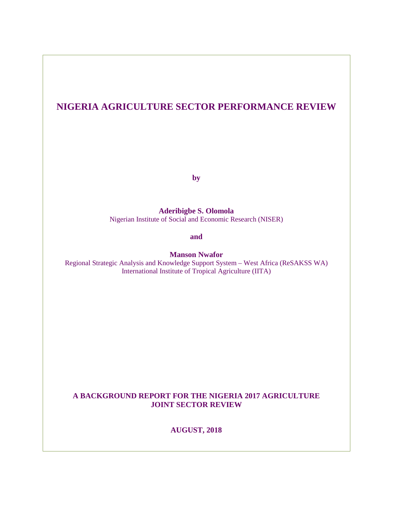# **NIGERIA AGRICULTURE SECTOR PERFORMANCE REVIEW**

**by**

**Aderibigbe S. Olomola**  Nigerian Institute of Social and Economic Research (NISER)

**and** 

**Manson Nwafor**

Regional Strategic Analysis and Knowledge Support System – West Africa (ReSAKSS WA) International Institute of Tropical Agriculture (IITA)

### **A BACKGROUND REPORT FOR THE NIGERIA 2017 AGRICULTURE JOINT SECTOR REVIEW**

**AUGUST, 2018**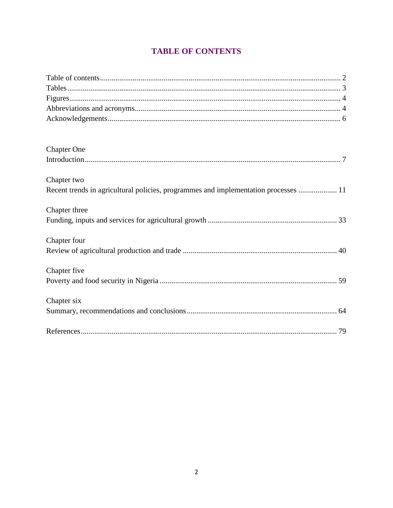# **TABLE OF CONTENTS**

<span id="page-1-0"></span>

| <b>Chapter One</b>                                                                  |
|-------------------------------------------------------------------------------------|
|                                                                                     |
| Chapter two                                                                         |
| Recent trends in agricultural policies, programmes and implementation processes  11 |
| Chapter three                                                                       |
|                                                                                     |
| Chapter four                                                                        |
|                                                                                     |
| Chapter five                                                                        |
|                                                                                     |
| Chapter six                                                                         |
|                                                                                     |
|                                                                                     |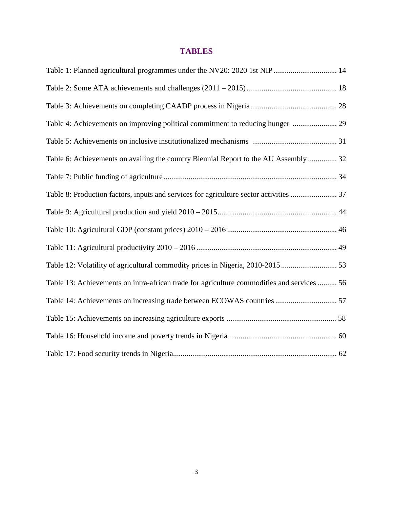## **TABLES**

<span id="page-2-0"></span>

| Table 4: Achievements on improving political commitment to reducing hunger  29             |
|--------------------------------------------------------------------------------------------|
|                                                                                            |
| Table 6: Achievements on availing the country Biennial Report to the AU Assembly  32       |
|                                                                                            |
| Table 8: Production factors, inputs and services for agriculture sector activities  37     |
|                                                                                            |
|                                                                                            |
|                                                                                            |
| Table 12: Volatility of agricultural commodity prices in Nigeria, 2010-2015 53             |
| Table 13: Achievements on intra-african trade for agriculture commodities and services  56 |
| Table 14: Achievements on increasing trade between ECOWAS countries 57                     |
|                                                                                            |
|                                                                                            |
|                                                                                            |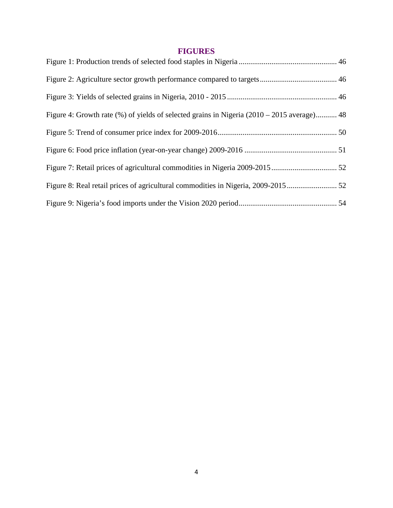# **FIGURES**

<span id="page-3-1"></span><span id="page-3-0"></span>

| Figure 4: Growth rate (%) of yields of selected grains in Nigeria (2010 – 2015 average) 48 |  |
|--------------------------------------------------------------------------------------------|--|
|                                                                                            |  |
|                                                                                            |  |
|                                                                                            |  |
|                                                                                            |  |
|                                                                                            |  |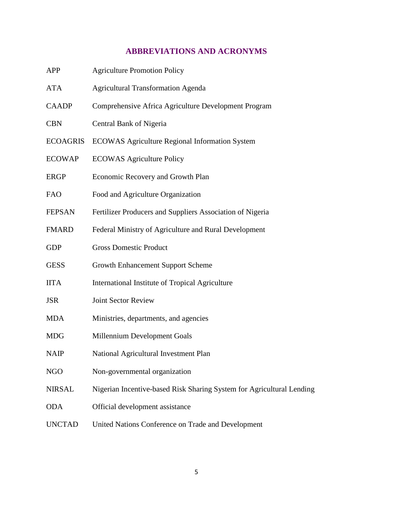# **ABBREVIATIONS AND ACRONYMS**

| APP             | <b>Agriculture Promotion Policy</b>                                   |
|-----------------|-----------------------------------------------------------------------|
| ATA             | <b>Agricultural Transformation Agenda</b>                             |
| <b>CAADP</b>    | Comprehensive Africa Agriculture Development Program                  |
| <b>CBN</b>      | Central Bank of Nigeria                                               |
| <b>ECOAGRIS</b> | <b>ECOWAS Agriculture Regional Information System</b>                 |
| <b>ECOWAP</b>   | <b>ECOWAS Agriculture Policy</b>                                      |
| <b>ERGP</b>     | Economic Recovery and Growth Plan                                     |
| <b>FAO</b>      | Food and Agriculture Organization                                     |
| FEPSAN          | Fertilizer Producers and Suppliers Association of Nigeria             |
| <b>FMARD</b>    | Federal Ministry of Agriculture and Rural Development                 |
| <b>GDP</b>      | <b>Gross Domestic Product</b>                                         |
| <b>GESS</b>     | <b>Growth Enhancement Support Scheme</b>                              |
| <b>IITA</b>     | International Institute of Tropical Agriculture                       |
| JSR             | <b>Joint Sector Review</b>                                            |
| MDA             | Ministries, departments, and agencies                                 |
| MDG             | Millennium Development Goals                                          |
| <b>NAIP</b>     | National Agricultural Investment Plan                                 |
| NGO             | Non-governmental organization                                         |
| NIRSAL          | Nigerian Incentive-based Risk Sharing System for Agricultural Lending |
| <b>ODA</b>      | Official development assistance                                       |
| <b>UNCTAD</b>   | United Nations Conference on Trade and Development                    |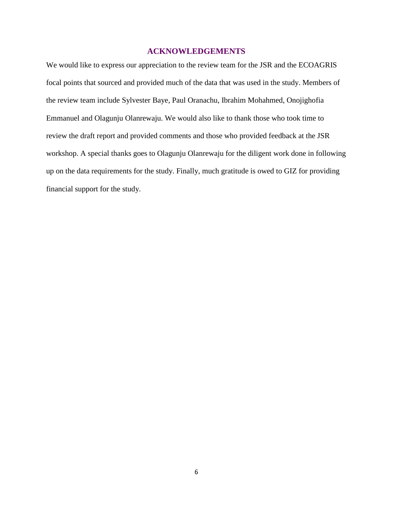### **ACKNOWLEDGEMENTS**

<span id="page-5-0"></span>We would like to express our appreciation to the review team for the JSR and the ECOAGRIS focal points that sourced and provided much of the data that was used in the study. Members of the review team include Sylvester Baye, Paul Oranachu, Ibrahim Mohahmed, Onojighofia Emmanuel and Olagunju Olanrewaju. We would also like to thank those who took time to review the draft report and provided comments and those who provided feedback at the JSR workshop. A special thanks goes to Olagunju Olanrewaju for the diligent work done in following up on the data requirements for the study. Finally, much gratitude is owed to GIZ for providing financial support for the study.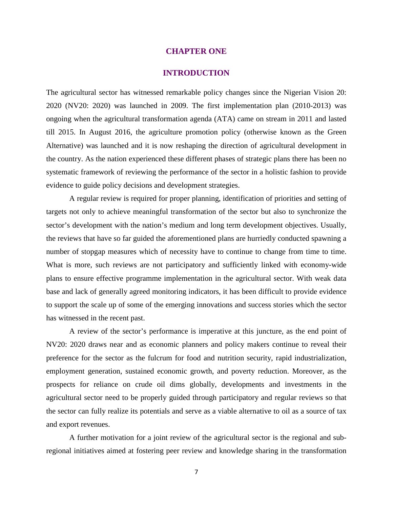#### **CHAPTER ONE**

#### **INTRODUCTION**

<span id="page-6-0"></span>The agricultural sector has witnessed remarkable policy changes since the Nigerian Vision 20: 2020 (NV20: 2020) was launched in 2009. The first implementation plan (2010-2013) was ongoing when the agricultural transformation agenda (ATA) came on stream in 2011 and lasted till 2015. In August 2016, the agriculture promotion policy (otherwise known as the Green Alternative) was launched and it is now reshaping the direction of agricultural development in the country. As the nation experienced these different phases of strategic plans there has been no systematic framework of reviewing the performance of the sector in a holistic fashion to provide evidence to guide policy decisions and development strategies.

A regular review is required for proper planning, identification of priorities and setting of targets not only to achieve meaningful transformation of the sector but also to synchronize the sector's development with the nation's medium and long term development objectives. Usually, the reviews that have so far guided the aforementioned plans are hurriedly conducted spawning a number of stopgap measures which of necessity have to continue to change from time to time. What is more, such reviews are not participatory and sufficiently linked with economy-wide plans to ensure effective programme implementation in the agricultural sector. With weak data base and lack of generally agreed monitoring indicators, it has been difficult to provide evidence to support the scale up of some of the emerging innovations and success stories which the sector has witnessed in the recent past.

A review of the sector's performance is imperative at this juncture, as the end point of NV20: 2020 draws near and as economic planners and policy makers continue to reveal their preference for the sector as the fulcrum for food and nutrition security, rapid industrialization, employment generation, sustained economic growth, and poverty reduction. Moreover, as the prospects for reliance on crude oil dims globally, developments and investments in the agricultural sector need to be properly guided through participatory and regular reviews so that the sector can fully realize its potentials and serve as a viable alternative to oil as a source of tax and export revenues.

A further motivation for a joint review of the agricultural sector is the regional and subregional initiatives aimed at fostering peer review and knowledge sharing in the transformation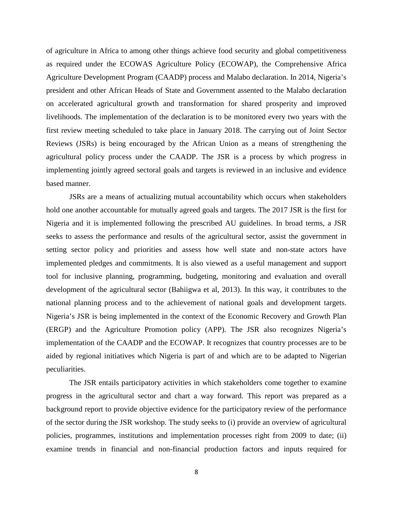of agriculture in Africa to among other things achieve food security and global competitiveness as required under the ECOWAS Agriculture Policy (ECOWAP), the Comprehensive Africa Agriculture Development Program (CAADP) process and Malabo declaration. In 2014, Nigeria's president and other African Heads of State and Government assented to the Malabo declaration on accelerated agricultural growth and transformation for shared prosperity and improved livelihoods. The implementation of the declaration is to be monitored every two years with the first review meeting scheduled to take place in January 2018. The carrying out of Joint Sector Reviews (JSRs) is being encouraged by the African Union as a means of strengthening the agricultural policy process under the CAADP. The JSR is a process by which progress in implementing jointly agreed sectoral goals and targets is reviewed in an inclusive and evidence based manner.

JSRs are a means of actualizing mutual accountability which occurs when stakeholders hold one another accountable for mutually agreed goals and targets. The 2017 JSR is the first for Nigeria and it is implemented following the prescribed AU guidelines. In broad terms, a JSR seeks to assess the performance and results of the agricultural sector, assist the government in setting sector policy and priorities and assess how well state and non-state actors have implemented pledges and commitments. It is also viewed as a useful management and support tool for inclusive planning, programming, budgeting, monitoring and evaluation and overall development of the agricultural sector (Bahiigwa et al, 2013). In this way, it contributes to the national planning process and to the achievement of national goals and development targets. Nigeria's JSR is being implemented in the context of the Economic Recovery and Growth Plan (ERGP) and the Agriculture Promotion policy (APP). The JSR also recognizes Nigeria's implementation of the CAADP and the ECOWAP. It recognizes that country processes are to be aided by regional initiatives which Nigeria is part of and which are to be adapted to Nigerian peculiarities.

The JSR entails participatory activities in which stakeholders come together to examine progress in the agricultural sector and chart a way forward. This report was prepared as a background report to provide objective evidence for the participatory review of the performance of the sector during the JSR workshop. The study seeks to (i) provide an overview of agricultural policies, programmes, institutions and implementation processes right from 2009 to date; (ii) examine trends in financial and non-financial production factors and inputs required for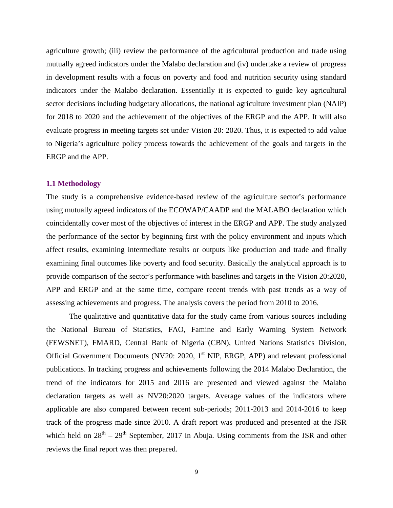agriculture growth; (iii) review the performance of the agricultural production and trade using mutually agreed indicators under the Malabo declaration and (iv) undertake a review of progress in development results with a focus on poverty and food and nutrition security using standard indicators under the Malabo declaration. Essentially it is expected to guide key agricultural sector decisions including budgetary allocations, the national agriculture investment plan (NAIP) for 2018 to 2020 and the achievement of the objectives of the ERGP and the APP. It will also evaluate progress in meeting targets set under Vision 20: 2020. Thus, it is expected to add value to Nigeria's agriculture policy process towards the achievement of the goals and targets in the ERGP and the APP.

#### **1.1 Methodology**

The study is a comprehensive evidence-based review of the agriculture sector's performance using mutually agreed indicators of the ECOWAP/CAADP and the MALABO declaration which coincidentally cover most of the objectives of interest in the ERGP and APP. The study analyzed the performance of the sector by beginning first with the policy environment and inputs which affect results, examining intermediate results or outputs like production and trade and finally examining final outcomes like poverty and food security. Basically the analytical approach is to provide comparison of the sector's performance with baselines and targets in the Vision 20:2020, APP and ERGP and at the same time, compare recent trends with past trends as a way of assessing achievements and progress. The analysis covers the period from 2010 to 2016.

The qualitative and quantitative data for the study came from various sources including the National Bureau of Statistics, FAO, Famine and Early Warning System Network (FEWSNET), FMARD, Central Bank of Nigeria (CBN), United Nations Statistics Division, Official Government Documents (NV20: 2020,  $1<sup>st</sup>$  NIP, ERGP, APP) and relevant professional publications. In tracking progress and achievements following the 2014 Malabo Declaration, the trend of the indicators for 2015 and 2016 are presented and viewed against the Malabo declaration targets as well as NV20:2020 targets. Average values of the indicators where applicable are also compared between recent sub-periods; 2011-2013 and 2014-2016 to keep track of the progress made since 2010. A draft report was produced and presented at the JSR which held on  $28^{th} - 29^{th}$  September, 2017 in Abuja. Using comments from the JSR and other reviews the final report was then prepared.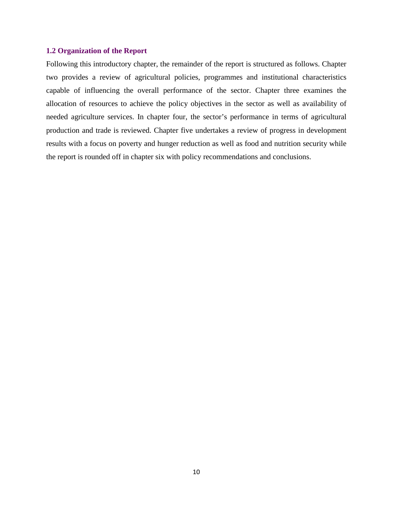#### **1.2 Organization of the Report**

Following this introductory chapter, the remainder of the report is structured as follows. Chapter two provides a review of agricultural policies, programmes and institutional characteristics capable of influencing the overall performance of the sector. Chapter three examines the allocation of resources to achieve the policy objectives in the sector as well as availability of needed agriculture services. In chapter four, the sector's performance in terms of agricultural production and trade is reviewed. Chapter five undertakes a review of progress in development results with a focus on poverty and hunger reduction as well as food and nutrition security while the report is rounded off in chapter six with policy recommendations and conclusions.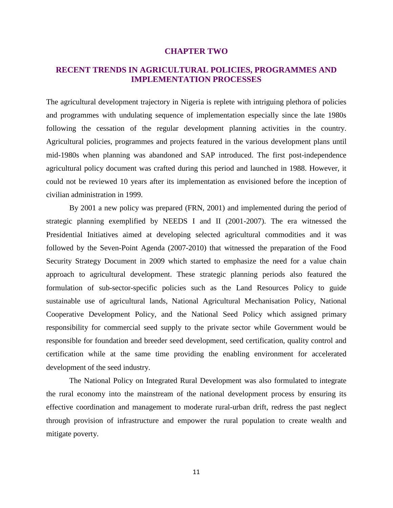#### **CHAPTER TWO**

### <span id="page-10-0"></span>**RECENT TRENDS IN AGRICULTURAL POLICIES, PROGRAMMES AND IMPLEMENTATION PROCESSES**

The agricultural development trajectory in Nigeria is replete with intriguing plethora of policies and programmes with undulating sequence of implementation especially since the late 1980s following the cessation of the regular development planning activities in the country. Agricultural policies, programmes and projects featured in the various development plans until mid-1980s when planning was abandoned and SAP introduced. The first post-independence agricultural policy document was crafted during this period and launched in 1988. However, it could not be reviewed 10 years after its implementation as envisioned before the inception of civilian administration in 1999.

By 2001 a new policy was prepared (FRN, 2001) and implemented during the period of strategic planning exemplified by NEEDS I and II (2001-2007). The era witnessed the Presidential Initiatives aimed at developing selected agricultural commodities and it was followed by the Seven-Point Agenda (2007-2010) that witnessed the preparation of the Food Security Strategy Document in 2009 which started to emphasize the need for a value chain approach to agricultural development. These strategic planning periods also featured the formulation of sub-sector-specific policies such as the Land Resources Policy to guide sustainable use of agricultural lands, National Agricultural Mechanisation Policy, National Cooperative Development Policy, and the National Seed Policy which assigned primary responsibility for commercial seed supply to the private sector while Government would be responsible for foundation and breeder seed development, seed certification, quality control and certification while at the same time providing the enabling environment for accelerated development of the seed industry.

The National Policy on Integrated Rural Development was also formulated to integrate the rural economy into the mainstream of the national development process by ensuring its effective coordination and management to moderate rural-urban drift, redress the past neglect through provision of infrastructure and empower the rural population to create wealth and mitigate poverty.

11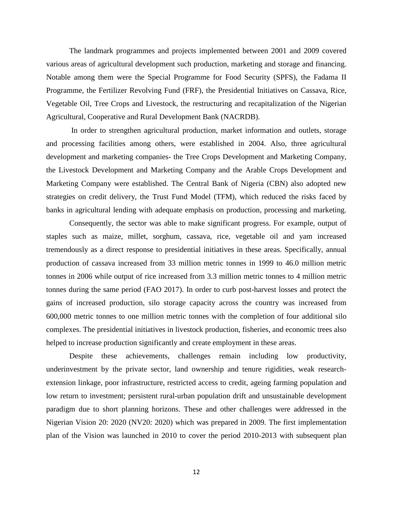The landmark programmes and projects implemented between 2001 and 2009 covered various areas of agricultural development such production, marketing and storage and financing. Notable among them were the Special Programme for Food Security (SPFS), the Fadama II Programme, the Fertilizer Revolving Fund (FRF), the Presidential Initiatives on Cassava, Rice, Vegetable Oil, Tree Crops and Livestock, the restructuring and recapitalization of the Nigerian Agricultural, Cooperative and Rural Development Bank (NACRDB).

In order to strengthen agricultural production, market information and outlets, storage and processing facilities among others, were established in 2004. Also, three agricultural development and marketing companies- the Tree Crops Development and Marketing Company, the Livestock Development and Marketing Company and the Arable Crops Development and Marketing Company were established. The Central Bank of Nigeria (CBN) also adopted new strategies on credit delivery, the Trust Fund Model (TFM), which reduced the risks faced by banks in agricultural lending with adequate emphasis on production, processing and marketing.

Consequently, the sector was able to make significant progress. For example, output of staples such as maize, millet, sorghum, cassava, rice, vegetable oil and yam increased tremendously as a direct response to presidential initiatives in these areas. Specifically, annual production of cassava increased from 33 million metric tonnes in 1999 to 46.0 million metric tonnes in 2006 while output of rice increased from 3.3 million metric tonnes to 4 million metric tonnes during the same period (FAO 2017). In order to curb post-harvest losses and protect the gains of increased production, silo storage capacity across the country was increased from 600,000 metric tonnes to one million metric tonnes with the completion of four additional silo complexes. The presidential initiatives in livestock production, fisheries, and economic trees also helped to increase production significantly and create employment in these areas.

Despite these achievements, challenges remain including low productivity, underinvestment by the private sector, land ownership and tenure rigidities, weak researchextension linkage, poor infrastructure, restricted access to credit, ageing farming population and low return to investment; persistent rural-urban population drift and unsustainable development paradigm due to short planning horizons. These and other challenges were addressed in the Nigerian Vision 20: 2020 (NV20: 2020) which was prepared in 2009. The first implementation plan of the Vision was launched in 2010 to cover the period 2010-2013 with subsequent plan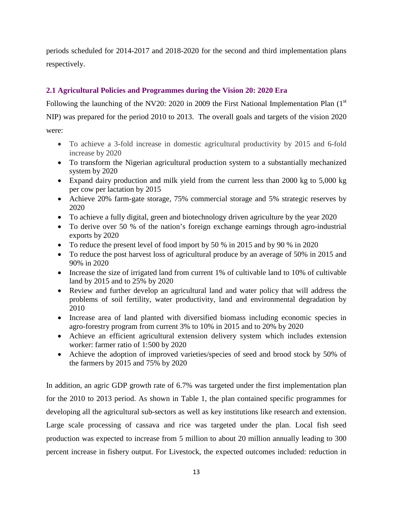periods scheduled for 2014-2017 and 2018-2020 for the second and third implementation plans respectively.

### **2.1 Agricultural Policies and Programmes during the Vision 20: 2020 Era**

Following the launching of the NV20: 2020 in 2009 the First National Implementation Plan  $(1<sup>st</sup>$ NIP) was prepared for the period 2010 to 2013. The overall goals and targets of the vision 2020 were:

- To achieve a 3-fold increase in domestic agricultural productivity by 2015 and 6-fold increase by 2020
- To transform the Nigerian agricultural production system to a substantially mechanized system by 2020
- Expand dairy production and milk yield from the current less than 2000 kg to 5,000 kg per cow per lactation by 2015
- Achieve 20% farm-gate storage, 75% commercial storage and 5% strategic reserves by 2020
- To achieve a fully digital, green and biotechnology driven agriculture by the year 2020
- To derive over 50 % of the nation's foreign exchange earnings through agro-industrial exports by 2020
- To reduce the present level of food import by 50 % in 2015 and by 90 % in 2020
- To reduce the post harvest loss of agricultural produce by an average of 50% in 2015 and 90% in 2020
- Increase the size of irrigated land from current 1% of cultivable land to 10% of cultivable land by 2015 and to 25% by 2020
- Review and further develop an agricultural land and water policy that will address the problems of soil fertility, water productivity, land and environmental degradation by 2010
- Increase area of land planted with diversified biomass including economic species in agro-forestry program from current 3% to 10% in 2015 and to 20% by 2020
- Achieve an efficient agricultural extension delivery system which includes extension worker: farmer ratio of 1:500 by 2020
- Achieve the adoption of improved varieties/species of seed and brood stock by 50% of the farmers by 2015 and 75% by 2020

In addition, an agric GDP growth rate of 6.7% was targeted under the first implementation plan for the 2010 to 2013 period. As shown in Table 1, the plan contained specific programmes for developing all the agricultural sub-sectors as well as key institutions like research and extension. Large scale processing of cassava and rice was targeted under the plan. Local fish seed production was expected to increase from 5 million to about 20 million annually leading to 300 percent increase in fishery output. For Livestock, the expected outcomes included: reduction in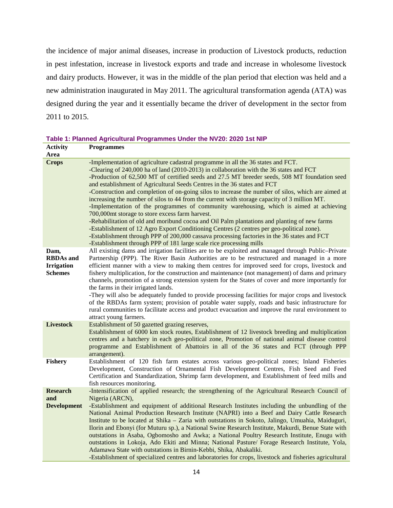the incidence of major animal diseases, increase in production of Livestock products, reduction in pest infestation, increase in livestock exports and trade and increase in wholesome livestock and dairy products. However, it was in the middle of the plan period that election was held and a new administration inaugurated in May 2011. The agricultural transformation agenda (ATA) was designed during the year and it essentially became the driver of development in the sector from 2011 to 2015.

<span id="page-13-0"></span>**Table 1: Planned Agricultural Programmes Under the NV20: 2020 1st NIP**

| <b>Activity</b>                                                 | <b>Programmes</b>                                                                                                                                                                                                                                                                                                                                                                                                                                                                                                                                                                                                                                                                                                                                                                                                                                                                                                                                                                                                                                                               |
|-----------------------------------------------------------------|---------------------------------------------------------------------------------------------------------------------------------------------------------------------------------------------------------------------------------------------------------------------------------------------------------------------------------------------------------------------------------------------------------------------------------------------------------------------------------------------------------------------------------------------------------------------------------------------------------------------------------------------------------------------------------------------------------------------------------------------------------------------------------------------------------------------------------------------------------------------------------------------------------------------------------------------------------------------------------------------------------------------------------------------------------------------------------|
| Area                                                            |                                                                                                                                                                                                                                                                                                                                                                                                                                                                                                                                                                                                                                                                                                                                                                                                                                                                                                                                                                                                                                                                                 |
| <b>Crops</b>                                                    | -Implementation of agriculture cadastral programme in all the 36 states and FCT.<br>-Clearing of 240,000 ha of land (2010-2013) in collaboration with the 36 states and FCT<br>-Production of 62,500 MT of certified seeds and 27.5 MT breeder seeds, 508 MT foundation seed<br>and establishment of Agricultural Seeds Centres in the 36 states and FCT<br>-Construction and completion of on-going silos to increase the number of silos, which are aimed at<br>increasing the number of silos to 44 from the current with storage capacity of 3 million MT.<br>-Implementation of the programmes of community warehousing, which is aimed at achieving<br>700,000mt storage to store excess farm harvest.<br>-Rehabilitation of old and moribund cocoa and Oil Palm plantations and planting of new farms<br>-Establishment of 12 Agro Export Conditioning Centres (2 centres per geo-political zone).<br>-Establishment through PPP of 200,000 cassava processing factories in the 36 states and FCT<br>-Establishment through PPP of 181 large scale rice processing mills |
| Dam,<br><b>RBDAs</b> and<br><b>Irrigation</b><br><b>Schemes</b> | All existing dams and irrigation facilities are to be exploited and managed through Public–Private<br>Partnership (PPP). The River Basin Authorities are to be restructured and managed in a more<br>efficient manner with a view to making them centres for improved seed for crops, livestock and<br>fishery multiplication, for the construction and maintenance (not management) of dams and primary<br>channels, promotion of a strong extension system for the States of cover and more importantly for<br>the farms in their irrigated lands.<br>-They will also be adequately funded to provide processing facilities for major crops and livestock<br>of the RBDAs farm system; provision of potable water supply, roads and basic infrastructure for<br>rural communities to facilitate access and product evacuation and improve the rural environment to<br>attract young farmers.                                                                                                                                                                                  |
| <b>Livestock</b><br><b>Fishery</b>                              | Establishment of 50 gazetted grazing reserves,<br>Establishment of 6000 km stock routes, Establishment of 12 livestock breeding and multiplication<br>centres and a hatchery in each geo-political zone, Promotion of national animal disease control<br>programme and Establishment of Abattoirs in all of the 36 states and FCT (through PPP<br>arrangement).<br>Establishment of 120 fish farm estates across various geo-political zones; Inland Fisheries                                                                                                                                                                                                                                                                                                                                                                                                                                                                                                                                                                                                                  |
|                                                                 | Development, Construction of Ornamental Fish Development Centres, Fish Seed and Feed<br>Certification and Standardization, Shrimp farm development, and Establishment of feed mills and<br>fish resources monitoring.                                                                                                                                                                                                                                                                                                                                                                                                                                                                                                                                                                                                                                                                                                                                                                                                                                                           |
| <b>Research</b><br>and<br><b>Development</b>                    | -Intensification of applied research; the strengthening of the Agricultural Research Council of<br>Nigeria (ARCN),<br>-Establishment and equipment of additional Research Institutes including the unbundling of the<br>National Animal Production Research Institute (NAPRI) into a Beef and Dairy Cattle Research<br>Institute to be located at Shika - Zaria with outstations in Sokoto, Jalingo, Umuahia, Maiduguri,<br>Ilorin and Ebonyi (for Muturu sp.), a National Swine Research Institute, Makurdi, Benue State with<br>outstations in Asaba, Ogbomosho and Awka; a National Poultry Research Institute, Enugu with<br>outstations in Lokoja, Ado Ekiti and Minna; National Pasture/ Forage Research Institute, Yola,<br>Adamawa State with outstations in Birnin-Kebbi, Shika, Abakaliki.<br>-Establishment of specialized centres and laboratories for crops, livestock and fisheries agricultural                                                                                                                                                                  |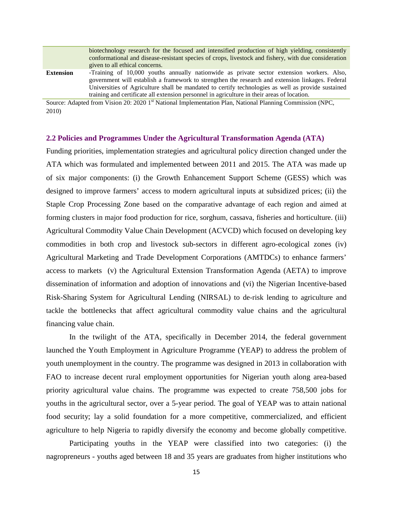|                  | biotechnology research for the focused and intensified production of high yielding, consistently                                                                                                                                                                                                                                                                                                   |  |  |  |  |  |
|------------------|----------------------------------------------------------------------------------------------------------------------------------------------------------------------------------------------------------------------------------------------------------------------------------------------------------------------------------------------------------------------------------------------------|--|--|--|--|--|
|                  | conformational and disease-resistant species of crops, livestock and fishery, with due consideration                                                                                                                                                                                                                                                                                               |  |  |  |  |  |
|                  | given to all ethical concerns.                                                                                                                                                                                                                                                                                                                                                                     |  |  |  |  |  |
| <b>Extension</b> | -Training of 10,000 youths annually nationwide as private sector extension workers. Also,<br>government will establish a framework to strengthen the research and extension linkages. Federal<br>Universities of Agriculture shall be mandated to certify technologies as well as provide sustained<br>training and certificate all extension personnel in agriculture in their areas of location. |  |  |  |  |  |

Source: Adapted from Vision 20: 2020 1st National Implementation Plan, National Planning Commission (NPC, 2010)

#### **2.2 Policies and Programmes Under the Agricultural Transformation Agenda (ATA)**

Funding priorities, implementation strategies and agricultural policy direction changed under the ATA which was formulated and implemented between 2011 and 2015. The ATA was made up of six major components: (i) the Growth Enhancement Support Scheme (GESS) which was designed to improve farmers' access to modern agricultural inputs at subsidized prices; (ii) the Staple Crop Processing Zone based on the comparative advantage of each region and aimed at forming clusters in major food production for rice, sorghum, cassava, fisheries and horticulture. (iii) Agricultural Commodity Value Chain Development (ACVCD) which focused on developing key commodities in both crop and livestock sub-sectors in different agro-ecological zones (iv) Agricultural Marketing and Trade Development Corporations (AMTDCs) to enhance farmers' access to markets (v) the Agricultural Extension Transformation Agenda (AETA) to improve dissemination of information and adoption of innovations and (vi) the Nigerian Incentive-based Risk-Sharing System for Agricultural Lending (NIRSAL) to de-risk lending to agriculture and tackle the bottlenecks that affect agricultural commodity value chains and the agricultural financing value chain.

In the twilight of the ATA, specifically in December 2014, the federal government launched the Youth Employment in Agriculture Programme (YEAP) to address the problem of youth unemployment in the country. The programme was designed in 2013 in collaboration with FAO to increase decent rural employment opportunities for Nigerian youth along area-based priority agricultural value chains. The programme was expected to create 758,500 jobs for youths in the agricultural sector, over a 5-year period. The goal of YEAP was to attain national food security; lay a solid foundation for a more competitive, commercialized, and efficient agriculture to help Nigeria to rapidly diversify the economy and become globally competitive.

Participating youths in the YEAP were classified into two categories: (i) the nagropreneurs - youths aged between 18 and 35 years are graduates from higher institutions who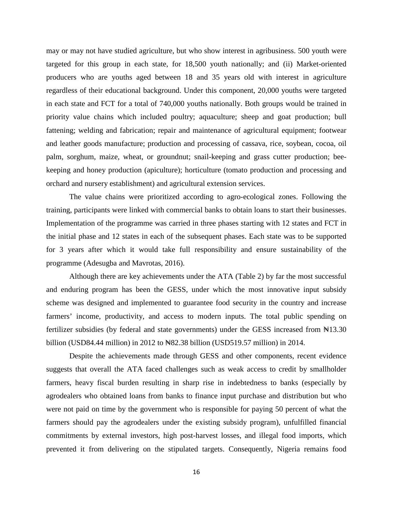may or may not have studied agriculture, but who show interest in agribusiness. 500 youth were targeted for this group in each state, for 18,500 youth nationally; and (ii) Market-oriented producers who are youths aged between 18 and 35 years old with interest in agriculture regardless of their educational background. Under this component, 20,000 youths were targeted in each state and FCT for a total of 740,000 youths nationally. Both groups would be trained in priority value chains which included poultry; aquaculture; sheep and goat production; bull fattening; welding and fabrication; repair and maintenance of agricultural equipment; footwear and leather goods manufacture; production and processing of cassava, rice, soybean, cocoa, oil palm, sorghum, maize, wheat, or groundnut; snail-keeping and grass cutter production; beekeeping and honey production (apiculture); horticulture (tomato production and processing and orchard and nursery establishment) and agricultural extension services.

The value chains were prioritized according to agro-ecological zones. Following the training, participants were linked with commercial banks to obtain loans to start their businesses. Implementation of the programme was carried in three phases starting with 12 states and FCT in the initial phase and 12 states in each of the subsequent phases. Each state was to be supported for 3 years after which it would take full responsibility and ensure sustainability of the programme (Adesugba and Mavrotas, 2016).

Although there are key achievements under the ATA (Table 2) by far the most successful and enduring program has been the GESS, under which the most innovative input subsidy scheme was designed and implemented to guarantee food security in the country and increase farmers' income, productivity, and access to modern inputs. The total public spending on fertilizer subsidies (by federal and state governments) under the GESS increased from  $\mathbb{N}13.30$ billion (USD84.44 million) in 2012 to New 138 billion (USD519.57 million) in 2014.

Despite the achievements made through GESS and other components, recent evidence suggests that overall the ATA faced challenges such as weak access to credit by smallholder farmers, heavy fiscal burden resulting in sharp rise in indebtedness to banks (especially by agrodealers who obtained loans from banks to finance input purchase and distribution but who were not paid on time by the government who is responsible for paying 50 percent of what the farmers should pay the agrodealers under the existing subsidy program), unfulfilled financial commitments by external investors, high post-harvest losses, and illegal food imports, which prevented it from delivering on the stipulated targets. Consequently, Nigeria remains food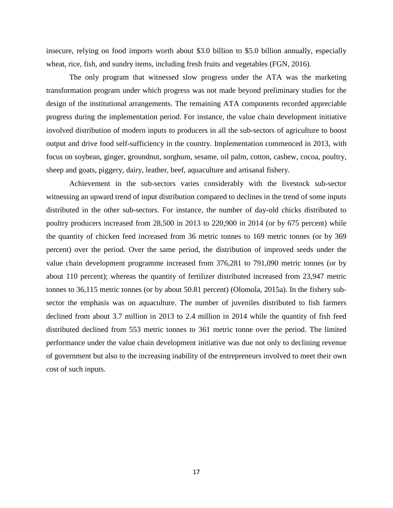insecure, relying on food imports worth about \$3.0 billion to \$5.0 billion annually, especially wheat, rice, fish, and sundry items, including fresh fruits and vegetables (FGN, 2016).

The only program that witnessed slow progress under the ATA was the marketing transformation program under which progress was not made beyond preliminary studies for the design of the institutional arrangements. The remaining ATA components recorded appreciable progress during the implementation period. For instance, the value chain development initiative involved distribution of modern inputs to producers in all the sub-sectors of agriculture to boost output and drive food self-sufficiency in the country. Implementation commenced in 2013, with focus on soybean, ginger, groundnut, sorghum, sesame, oil palm, cotton, cashew, cocoa, poultry, sheep and goats, piggery, dairy, leather, beef, aquaculture and artisanal fishery.

<span id="page-16-0"></span>Achievement in the sub-sectors varies considerably with the livestock sub-sector witnessing an upward trend of input distribution compared to declines in the trend of some inputs distributed in the other sub-sectors. For instance, the number of day-old chicks distributed to poultry producers increased from 28,500 in 2013 to 220,900 in 2014 (or by 675 percent) while the quantity of chicken feed increased from 36 metric tonnes to 169 metric tonnes (or by 369 percent) over the period. Over the same period, the distribution of improved seeds under the value chain development programme increased from 376,281 to 791,090 metric tonnes (or by about 110 percent); whereas the quantity of fertilizer distributed increased from 23,947 metric tonnes to 36,115 metric tonnes (or by about 50.81 percent) (Olomola, 2015a). In the fishery subsector the emphasis was on aquaculture. The number of juveniles distributed to fish farmers declined from about 3.7 million in 2013 to 2.4 million in 2014 while the quantity of fish feed distributed declined from 553 metric tonnes to 361 metric tonne over the period. The limited performance under the value chain development initiative was due not only to declining revenue of government but also to the increasing inability of the entrepreneurs involved to meet their own cost of such inputs.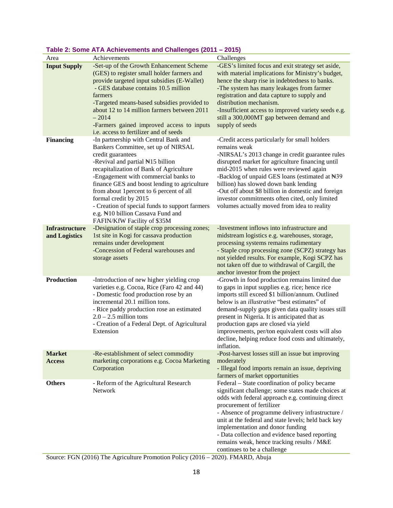| Area                                   | Achievements                                                                                                                                                                                                                                                                                                                                                                                                                                                                      | Challenges                                                                                                                                                                                                                                                                                                                                                                                                                                                                          |
|----------------------------------------|-----------------------------------------------------------------------------------------------------------------------------------------------------------------------------------------------------------------------------------------------------------------------------------------------------------------------------------------------------------------------------------------------------------------------------------------------------------------------------------|-------------------------------------------------------------------------------------------------------------------------------------------------------------------------------------------------------------------------------------------------------------------------------------------------------------------------------------------------------------------------------------------------------------------------------------------------------------------------------------|
| <b>Input Supply</b>                    | -Set-up of the Growth Enhancement Scheme<br>(GES) to register small holder farmers and<br>provide targeted input subsidies (E-Wallet)<br>- GES database contains 10.5 million<br>farmers<br>-Targeted means-based subsidies provided to<br>about 12 to 14 million farmers between 2011<br>$-2014$<br>-Farmers gained improved access to inputs<br>i.e. access to fertilizer and of seeds                                                                                          | -GES's limited focus and exit strategy set aside,<br>with material implications for Ministry's budget,<br>hence the sharp rise in indebtedness to banks.<br>-The system has many leakages from farmer<br>registration and data capture to supply and<br>distribution mechanism.<br>-Insufficient access to improved variety seeds e.g.<br>still a 300,000MT gap between demand and<br>supply of seeds                                                                               |
| <b>Financing</b>                       | -In partnership with Central Bank and<br>Bankers Committee, set up of NIRSAL<br>credit guarantees<br>-Revival and partial No. 5 billion<br>recapitalization of Bank of Agriculture<br>-Engagement with commercial banks to<br>finance GES and boost lending to agriculture<br>from about 1 percent to 6 percent of all<br>formal credit by 2015<br>- Creation of special funds to support farmers<br>e.g. N <sub>10</sub> billion Cassava Fund and<br>FAFIN/KfW Facility of \$35M | -Credit access particularly for small holders<br>remains weak<br>-NIRSAL's 2013 change in credit guarantee rules<br>disrupted market for agriculture financing until<br>mid-2015 when rules were reviewed again<br>-Backlog of unpaid GES loans (estimated at N39<br>billion) has slowed down bank lending<br>-Out off about \$8 billion in domestic and foreign<br>investor commitments often cited, only limited<br>volumes actually moved from idea to reality                   |
| <b>Infrastructure</b><br>and Logistics | -Designation of staple crop processing zones;<br>1st site in Kogi for cassava production<br>remains under development<br>-Concession of Federal warehouses and<br>storage assets                                                                                                                                                                                                                                                                                                  | -Investment inflows into infrastructure and<br>midstream logistics e.g. warehouses, storage,<br>processing systems remains rudimentary<br>- Staple crop processing zone (SCPZ) strategy has<br>not yielded results. For example, Kogi SCPZ has<br>not taken off due to withdrawal of Cargill, the<br>anchor investor from the project                                                                                                                                               |
| <b>Production</b>                      | -Introduction of new higher yielding crop<br>varieties e.g. Cocoa, Rice (Faro 42 and 44)<br>- Domestic food production rose by an<br>incremental 20.1 million tons.<br>- Rice paddy production rose an estimated<br>$2.0 - 2.5$ million tons<br>- Creation of a Federal Dept. of Agricultural<br>Extension                                                                                                                                                                        | -Growth in food production remains limited due<br>to gaps in input supplies e.g. rice; hence rice<br>imports still exceed \$1 billion/annum. Outlined<br>below is an <i>illustrative</i> "best estimates" of<br>demand-supply gaps given data quality issues still<br>present in Nigeria. It is anticipated that as<br>production gaps are closed via yield<br>improvements, per/ton equivalent costs will also<br>decline, helping reduce food costs and ultimately,<br>inflation. |
| <b>Market</b><br><b>Access</b>         | -Re-establishment of select commodity<br>marketing corporations e.g. Cocoa Marketing<br>Corporation                                                                                                                                                                                                                                                                                                                                                                               | -Post-harvest losses still an issue but improving<br>moderately<br>- Illegal food imports remain an issue, depriving<br>farmers of market opportunities                                                                                                                                                                                                                                                                                                                             |
| <b>Others</b>                          | - Reform of the Agricultural Research<br><b>Network</b>                                                                                                                                                                                                                                                                                                                                                                                                                           | Federal – State coordination of policy became<br>significant challenge; some states made choices at<br>odds with federal approach e.g. continuing direct<br>procurement of fertilizer<br>- Absence of programme delivery infrastructure /<br>unit at the federal and state levels; held back key<br>implementation and donor funding<br>- Data collection and evidence based reporting<br>remains weak, hence tracking results / M&E<br>continues to be a challenge                 |

### **Table 2: Some ATA Achievements and Challenges (2011 – 2015)**

Source: FGN (2016) The Agriculture Promotion Policy (2016 – 2020). FMARD, Abuja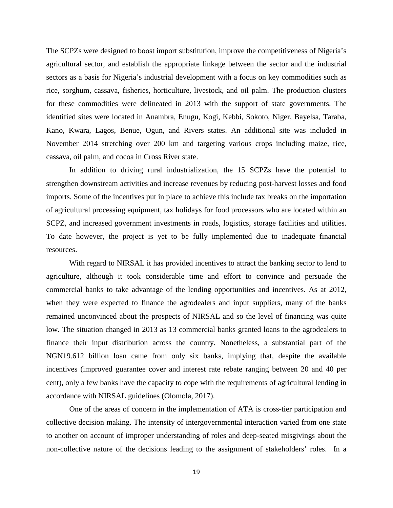The SCPZs were designed to boost import substitution, improve the competitiveness of Nigeria's agricultural sector, and establish the appropriate linkage between the sector and the industrial sectors as a basis for Nigeria's industrial development with a focus on key commodities such as rice, sorghum, cassava, fisheries, horticulture, livestock, and oil palm. The production clusters for these commodities were delineated in 2013 with the support of state governments. The identified sites were located in Anambra, Enugu, Kogi, Kebbi, Sokoto, Niger, Bayelsa, Taraba, Kano, Kwara, Lagos, Benue, Ogun, and Rivers states. An additional site was included in November 2014 stretching over 200 km and targeting various crops including maize, rice, cassava, oil palm, and cocoa in Cross River state.

In addition to driving rural industrialization, the 15 SCPZs have the potential to strengthen downstream activities and increase revenues by reducing post-harvest losses and food imports. Some of the incentives put in place to achieve this include tax breaks on the importation of agricultural processing equipment, tax holidays for food processors who are located within an SCPZ, and increased government investments in roads, logistics, storage facilities and utilities. To date however, the project is yet to be fully implemented due to inadequate financial resources.

With regard to NIRSAL it has provided incentives to attract the banking sector to lend to agriculture, although it took considerable time and effort to convince and persuade the commercial banks to take advantage of the lending opportunities and incentives. As at 2012, when they were expected to finance the agrodealers and input suppliers, many of the banks remained unconvinced about the prospects of NIRSAL and so the level of financing was quite low. The situation changed in 2013 as 13 commercial banks granted loans to the agrodealers to finance their input distribution across the country. Nonetheless, a substantial part of the NGN19.612 billion loan came from only six banks, implying that, despite the available incentives (improved guarantee cover and interest rate rebate ranging between 20 and 40 per cent), only a few banks have the capacity to cope with the requirements of agricultural lending in accordance with NIRSAL guidelines (Olomola, 2017).

One of the areas of concern in the implementation of ATA is cross-tier participation and collective decision making. The intensity of intergovernmental interaction varied from one state to another on account of improper understanding of roles and deep-seated misgivings about the non-collective nature of the decisions leading to the assignment of stakeholders' roles. In a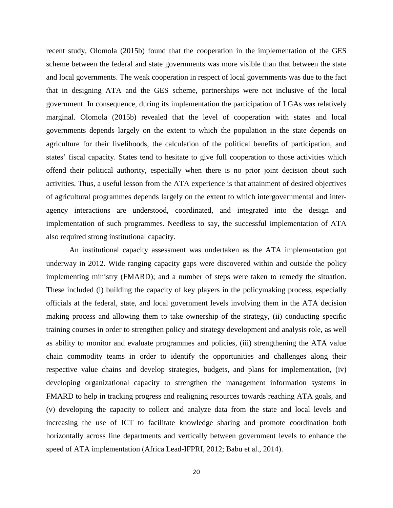recent study, Olomola (2015b) found that the cooperation in the implementation of the GES scheme between the federal and state governments was more visible than that between the state and local governments. The weak cooperation in respect of local governments was due to the fact that in designing ATA and the GES scheme, partnerships were not inclusive of the local government. In consequence, during its implementation the participation of LGAs was relatively marginal. Olomola (2015b) revealed that the level of cooperation with states and local governments depends largely on the extent to which the population in the state depends on agriculture for their livelihoods, the calculation of the political benefits of participation, and states' fiscal capacity. States tend to hesitate to give full cooperation to those activities which offend their political authority, especially when there is no prior joint decision about such activities. Thus, a useful lesson from the ATA experience is that attainment of desired objectives of agricultural programmes depends largely on the extent to which intergovernmental and interagency interactions are understood, coordinated, and integrated into the design and implementation of such programmes. Needless to say, the successful implementation of ATA also required strong institutional capacity.

An institutional capacity assessment was undertaken as the ATA implementation got underway in 2012. Wide ranging capacity gaps were discovered within and outside the policy implementing ministry (FMARD); and a number of steps were taken to remedy the situation. These included (i) building the capacity of key players in the policymaking process, especially officials at the federal, state, and local government levels involving them in the ATA decision making process and allowing them to take ownership of the strategy, (ii) conducting specific training courses in order to strengthen policy and strategy development and analysis role, as well as ability to monitor and evaluate programmes and policies, (iii) strengthening the ATA value chain commodity teams in order to identify the opportunities and challenges along their respective value chains and develop strategies, budgets, and plans for implementation, (iv) developing organizational capacity to strengthen the management information systems in FMARD to help in tracking progress and realigning resources towards reaching ATA goals, and (v) developing the capacity to collect and analyze data from the state and local levels and increasing the use of ICT to facilitate knowledge sharing and promote coordination both horizontally across line departments and vertically between government levels to enhance the speed of ATA implementation (Africa Lead-IFPRI, 2012; Babu et al., 2014).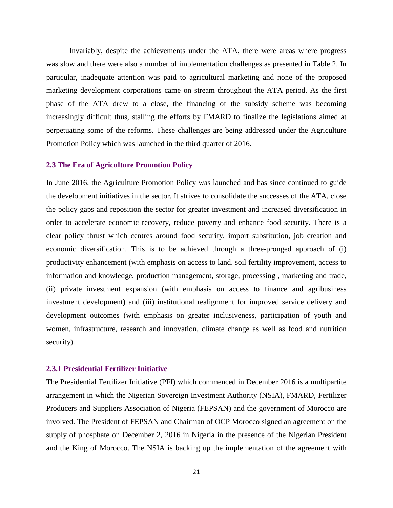Invariably, despite the achievements under the ATA, there were areas where progress was slow and there were also a number of implementation challenges as presented in Table 2. In particular, inadequate attention was paid to agricultural marketing and none of the proposed marketing development corporations came on stream throughout the ATA period. As the first phase of the ATA drew to a close, the financing of the subsidy scheme was becoming increasingly difficult thus, stalling the efforts by FMARD to finalize the legislations aimed at perpetuating some of the reforms. These challenges are being addressed under the Agriculture Promotion Policy which was launched in the third quarter of 2016.

#### **2.3 The Era of Agriculture Promotion Policy**

In June 2016, the Agriculture Promotion Policy was launched and has since continued to guide the development initiatives in the sector. It strives to consolidate the successes of the ATA, close the policy gaps and reposition the sector for greater investment and increased diversification in order to accelerate economic recovery, reduce poverty and enhance food security. There is a clear policy thrust which centres around food security, import substitution, job creation and economic diversification. This is to be achieved through a three-pronged approach of (i) productivity enhancement (with emphasis on access to land, soil fertility improvement, access to information and knowledge, production management, storage, processing , marketing and trade, (ii) private investment expansion (with emphasis on access to finance and agribusiness investment development) and (iii) institutional realignment for improved service delivery and development outcomes (with emphasis on greater inclusiveness, participation of youth and women, infrastructure, research and innovation, climate change as well as food and nutrition security).

#### **2.3.1 Presidential Fertilizer Initiative**

The Presidential Fertilizer Initiative (PFI) which commenced in December 2016 is a multipartite arrangement in which the Nigerian Sovereign Investment Authority (NSIA), FMARD, Fertilizer Producers and Suppliers Association of Nigeria (FEPSAN) and the government of Morocco are involved. The President of FEPSAN and Chairman of OCP Morocco signed an agreement on the supply of phosphate on December 2, 2016 in Nigeria in the presence of the Nigerian President and the King of Morocco. The NSIA is backing up the implementation of the agreement with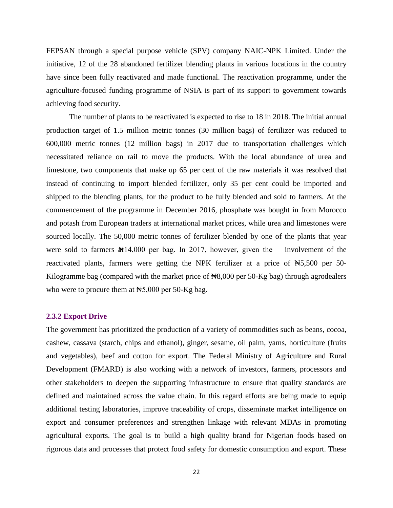FEPSAN through a special purpose vehicle (SPV) company NAIC-NPK Limited. Under the initiative, 12 of the 28 abandoned fertilizer blending plants in various locations in the country have since been fully reactivated and made functional. The reactivation programme, under the agriculture-focused funding programme of NSIA is part of its support to government towards achieving food security.

The number of plants to be reactivated is expected to rise to 18 in 2018. The initial annual production target of 1.5 million metric tonnes (30 million bags) of fertilizer was reduced to 600,000 metric tonnes (12 million bags) in 2017 due to transportation challenges which necessitated reliance on rail to move the products. With the local abundance of urea and limestone, two components that make up 65 per cent of the raw materials it was resolved that instead of continuing to import blended fertilizer, only 35 per cent could be imported and shipped to the blending plants, for the product to be fully blended and sold to farmers. At the commencement of the programme in December 2016, phosphate was bought in from Morocco and potash from European traders at international market prices, while urea and limestones were sourced locally. The 50,000 metric tonnes of fertilizer blended by one of the plants that year were sold to farmers  $\mathbb{M}14,000$  per bag. In 2017, however, given the involvement of the reactivated plants, farmers were getting the NPK fertilizer at a price of  $\text{H}_5$ 5,500 per 50-Kilogramme bag (compared with the market price of  $\mathbb{N}8,000$  per 50-Kg bag) through agrodealers who were to procure them at  $\text{H}_5$ ,000 per 50-Kg bag.

#### **2.3.2 Export Drive**

The government has prioritized the production of a variety of commodities such as beans, cocoa, cashew, cassava (starch, chips and ethanol), ginger, sesame, oil palm, yams, horticulture (fruits and vegetables), beef and cotton for export. The Federal Ministry of Agriculture and Rural Development (FMARD) is also working with a network of investors, farmers, processors and other stakeholders to deepen the supporting infrastructure to ensure that quality standards are defined and maintained across the value chain. In this regard efforts are being made to equip additional testing laboratories, improve traceability of crops, disseminate market intelligence on export and consumer preferences and strengthen linkage with relevant MDAs in promoting agricultural exports. The goal is to build a high quality brand for Nigerian foods based on rigorous data and processes that protect food safety for domestic consumption and export. These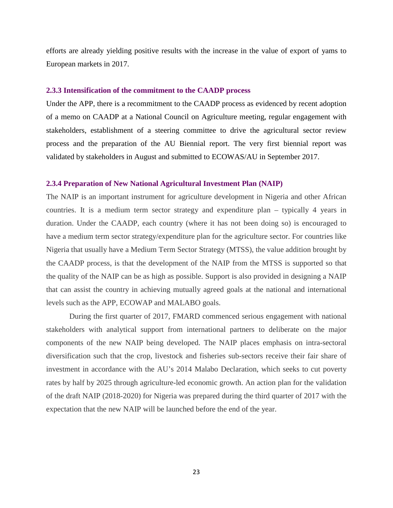efforts are already yielding positive results with the increase in the value of export of yams to European markets in 2017.

#### **2.3.3 Intensification of the commitment to the CAADP process**

Under the APP, there is a recommitment to the CAADP process as evidenced by recent adoption of a memo on CAADP at a National Council on Agriculture meeting, regular engagement with stakeholders, establishment of a steering committee to drive the agricultural sector review process and the preparation of the AU Biennial report. The very first biennial report was validated by stakeholders in August and submitted to ECOWAS/AU in September 2017.

#### **2.3.4 Preparation of New National Agricultural Investment Plan (NAIP)**

The NAIP is an important instrument for agriculture development in Nigeria and other African countries. It is a medium term sector strategy and expenditure plan – typically 4 years in duration. Under the CAADP, each country (where it has not been doing so) is encouraged to have a medium term sector strategy/expenditure plan for the agriculture sector. For countries like Nigeria that usually have a Medium Term Sector Strategy (MTSS), the value addition brought by the CAADP process, is that the development of the NAIP from the MTSS is supported so that the quality of the NAIP can be as high as possible. Support is also provided in designing a NAIP that can assist the country in achieving mutually agreed goals at the national and international levels such as the APP, ECOWAP and MALABO goals.

During the first quarter of 2017, FMARD commenced serious engagement with national stakeholders with analytical support from international partners to deliberate on the major components of the new NAIP being developed. The NAIP places emphasis on intra-sectoral diversification such that the crop, livestock and fisheries sub-sectors receive their fair share of investment in accordance with the AU's 2014 Malabo Declaration, which seeks to cut poverty rates by half by 2025 through agriculture-led economic growth. An action plan for the validation of the draft NAIP (2018-2020) for Nigeria was prepared during the third quarter of 2017 with the expectation that the new NAIP will be launched before the end of the year.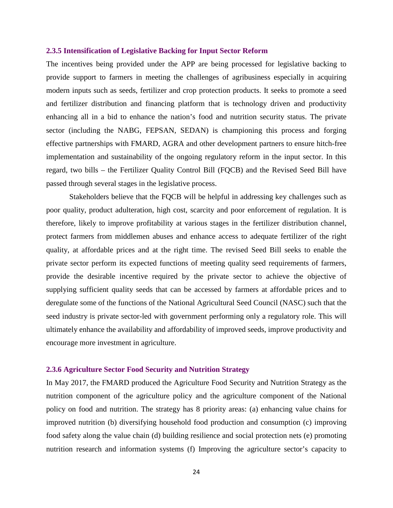#### **2.3.5 Intensification of Legislative Backing for Input Sector Reform**

The incentives being provided under the APP are being processed for legislative backing to provide support to farmers in meeting the challenges of agribusiness especially in acquiring modern inputs such as seeds, fertilizer and crop protection products. It seeks to promote a seed and fertilizer distribution and financing platform that is technology driven and productivity enhancing all in a bid to enhance the nation's food and nutrition security status. The private sector (including the NABG, FEPSAN, SEDAN) is championing this process and forging effective partnerships with FMARD, AGRA and other development partners to ensure hitch-free implementation and sustainability of the ongoing regulatory reform in the input sector. In this regard, two bills – the Fertilizer Quality Control Bill (FQCB) and the Revised Seed Bill have passed through several stages in the legislative process.

Stakeholders believe that the FQCB will be helpful in addressing key challenges such as poor quality, product adulteration, high cost, scarcity and poor enforcement of regulation. It is therefore, likely to improve profitability at various stages in the fertilizer distribution channel, protect farmers from middlemen abuses and enhance access to adequate fertilizer of the right quality, at affordable prices and at the right time. The revised Seed Bill seeks to enable the private sector perform its expected functions of meeting quality seed requirements of farmers, provide the desirable incentive required by the private sector to achieve the objective of supplying sufficient quality seeds that can be accessed by farmers at affordable prices and to deregulate some of the functions of the National Agricultural Seed Council (NASC) such that the seed industry is private sector-led with government performing only a regulatory role. This will ultimately enhance the availability and affordability of improved seeds, improve productivity and encourage more investment in agriculture.

#### **2.3.6 Agriculture Sector Food Security and Nutrition Strategy**

In May 2017, the FMARD produced the Agriculture Food Security and Nutrition Strategy as the nutrition component of the agriculture policy and the agriculture component of the National policy on food and nutrition. The strategy has 8 priority areas: (a) enhancing value chains for improved nutrition (b) diversifying household food production and consumption (c) improving food safety along the value chain (d) building resilience and social protection nets (e) promoting nutrition research and information systems (f) Improving the agriculture sector's capacity to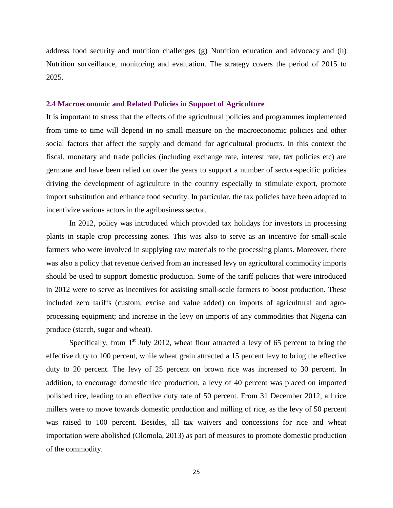address food security and nutrition challenges (g) Nutrition education and advocacy and (h) Nutrition surveillance, monitoring and evaluation. The strategy covers the period of 2015 to 2025.

#### **2.4 Macroeconomic and Related Policies in Support of Agriculture**

It is important to stress that the effects of the agricultural policies and programmes implemented from time to time will depend in no small measure on the macroeconomic policies and other social factors that affect the supply and demand for agricultural products. In this context the fiscal, monetary and trade policies (including exchange rate, interest rate, tax policies etc) are germane and have been relied on over the years to support a number of sector-specific policies driving the development of agriculture in the country especially to stimulate export, promote import substitution and enhance food security. In particular, the tax policies have been adopted to incentivize various actors in the agribusiness sector.

In 2012, policy was introduced which provided tax holidays for investors in processing plants in staple crop processing zones. This was also to serve as an incentive for small-scale farmers who were involved in supplying raw materials to the processing plants. Moreover, there was also a policy that revenue derived from an increased levy on agricultural commodity imports should be used to support domestic production. Some of the tariff policies that were introduced in 2012 were to serve as incentives for assisting small-scale farmers to boost production. These included zero tariffs (custom, excise and value added) on imports of agricultural and agroprocessing equipment; and increase in the levy on imports of any commodities that Nigeria can produce (starch, sugar and wheat).

Specifically, from  $1<sup>st</sup>$  July 2012, wheat flour attracted a levy of 65 percent to bring the effective duty to 100 percent, while wheat grain attracted a 15 percent levy to bring the effective duty to 20 percent. The levy of 25 percent on brown rice was increased to 30 percent. In addition, to encourage domestic rice production, a levy of 40 percent was placed on imported polished rice, leading to an effective duty rate of 50 percent. From 31 December 2012, all rice millers were to move towards domestic production and milling of rice, as the levy of 50 percent was raised to 100 percent. Besides, all tax waivers and concessions for rice and wheat importation were abolished (Olomola, 2013) as part of measures to promote domestic production of the commodity.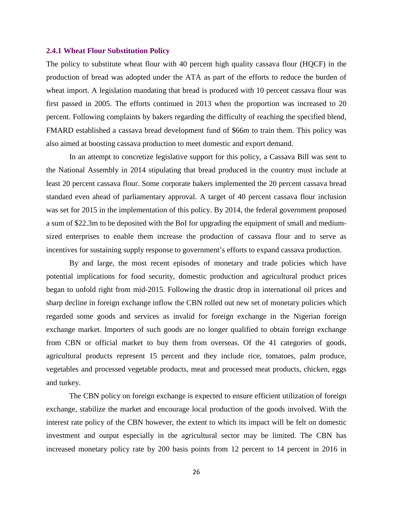#### **2.4.1 Wheat Flour Substitution Policy**

The policy to substitute wheat flour with 40 percent high quality cassava flour (HQCF) in the production of bread was adopted under the ATA as part of the efforts to reduce the burden of wheat import. A legislation mandating that bread is produced with 10 percent cassava flour was first passed in 2005. The efforts continued in 2013 when the proportion was increased to 20 percent. Following complaints by bakers regarding the difficulty of reaching the specified blend, FMARD established a cassava bread development fund of \$66m to train them. This policy was also aimed at boosting cassava production to meet domestic and export demand.

In an attempt to concretize legislative support for this policy, a Cassava Bill was sent to the National Assembly in 2014 stipulating that bread produced in the country must include at least 20 percent cassava flour. Some corporate bakers implemented the 20 percent cassava bread standard even ahead of parliamentary approval. A target of 40 percent cassava flour inclusion was set for 2015 in the implementation of this policy. By 2014, the federal government proposed a sum of \$22.3m to be deposited with the BoI for upgrading the equipment of small and mediumsized enterprises to enable them increase the production of cassava flour and to serve as incentives for sustaining supply response to government's efforts to expand cassava production.

By and large, the most recent episodes of monetary and trade policies which have potential implications for food security, domestic production and agricultural product prices began to unfold right from mid-2015. Following the drastic drop in international oil prices and sharp decline in foreign exchange inflow the CBN rolled out new set of monetary policies which regarded some goods and services as invalid for foreign exchange in the Nigerian foreign exchange market. Importers of such goods are no longer qualified to obtain foreign exchange from CBN or official market to buy them from overseas. Of the 41 categories of goods, agricultural products represent 15 percent and they include rice, tomatoes, palm produce, vegetables and processed vegetable products, meat and processed meat products, chicken, eggs and turkey.

The CBN policy on foreign exchange is expected to ensure efficient utilization of foreign exchange, stabilize the market and encourage local production of the goods involved. With the interest rate policy of the CBN however, the extent to which its impact will be felt on domestic investment and output especially in the agricultural sector may be limited. The CBN has increased monetary policy rate by 200 basis points from 12 percent to 14 percent in 2016 in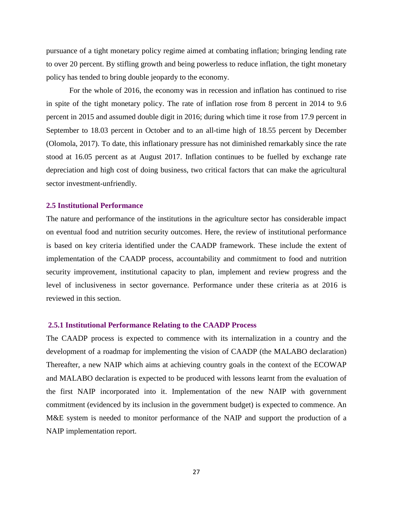pursuance of a tight monetary policy regime aimed at combating inflation; bringing lending rate to over 20 percent. By stifling growth and being powerless to reduce inflation, the tight monetary policy has tended to bring double jeopardy to the economy.

For the whole of 2016, the economy was in recession and inflation has continued to rise in spite of the tight monetary policy. The rate of inflation rose from 8 percent in 2014 to 9.6 percent in 2015 and assumed double digit in 2016; during which time it rose from 17.9 percent in September to 18.03 percent in October and to an all-time high of 18.55 percent by December (Olomola, 2017). To date, this inflationary pressure has not diminished remarkably since the rate stood at 16.05 percent as at August 2017. Inflation continues to be fuelled by exchange rate depreciation and high cost of doing business, two critical factors that can make the agricultural sector investment-unfriendly.

#### **2.5 Institutional Performance**

The nature and performance of the institutions in the agriculture sector has considerable impact on eventual food and nutrition security outcomes. Here, the review of institutional performance is based on key criteria identified under the CAADP framework. These include the extent of implementation of the CAADP process, accountability and commitment to food and nutrition security improvement, institutional capacity to plan, implement and review progress and the level of inclusiveness in sector governance. Performance under these criteria as at 2016 is reviewed in this section.

#### **2.5.1 Institutional Performance Relating to the CAADP Process**

The CAADP process is expected to commence with its internalization in a country and the development of a roadmap for implementing the vision of CAADP (the MALABO declaration) Thereafter, a new NAIP which aims at achieving country goals in the context of the ECOWAP and MALABO declaration is expected to be produced with lessons learnt from the evaluation of the first NAIP incorporated into it. Implementation of the new NAIP with government commitment (evidenced by its inclusion in the government budget) is expected to commence. An M&E system is needed to monitor performance of the NAIP and support the production of a NAIP implementation report.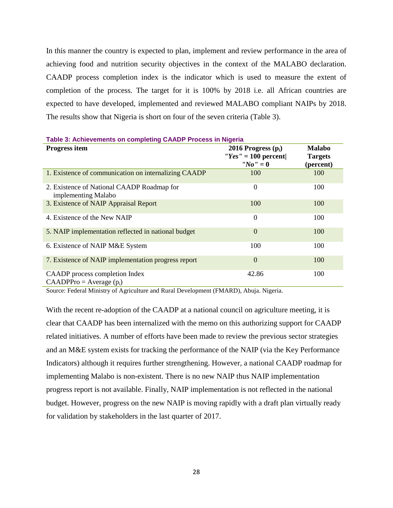In this manner the country is expected to plan, implement and review performance in the area of achieving food and nutrition security objectives in the context of the MALABO declaration. CAADP process completion index is the indicator which is used to measure the extent of completion of the process. The target for it is 100% by 2018 i.e. all African countries are expected to have developed, implemented and reviewed MALABO compliant NAIPs by 2018. The results show that Nigeria is short on four of the seven criteria (Table 3).

| <u>et remotomonio on complemig ordin i recesso in ingena</u>      |                                                                                                     |                                              |
|-------------------------------------------------------------------|-----------------------------------------------------------------------------------------------------|----------------------------------------------|
| Progress item                                                     | 2016 Progress $(p_i)$<br>$Y\prime$ gs'' = 100 percent<br>$^{\prime\prime}$ No $^{\prime\prime}$ = 0 | <b>Malabo</b><br><b>Targets</b><br>(percent) |
| 1. Existence of communication on internalizing CAADP              | 100                                                                                                 | 100                                          |
| 2. Existence of National CAADP Roadmap for<br>implementing Malabo | $\overline{0}$                                                                                      | 100                                          |
| 3. Existence of NAIP Appraisal Report                             | 100                                                                                                 | 100                                          |
| 4. Existence of the New NAIP                                      | $\overline{0}$                                                                                      | 100                                          |
| 5. NAIP implementation reflected in national budget               | $\Omega$                                                                                            | 100                                          |
| 6. Existence of NAIP M&E System                                   | 100                                                                                                 | 100                                          |
| 7. Existence of NAIP implementation progress report               | $\Omega$                                                                                            | 100                                          |
| CAADP process completion Index<br>$CAADPPro = Average(p_i)$       | 42.86                                                                                               | 100                                          |

#### <span id="page-27-0"></span>**Table 3: Achievements on completing CAADP Process in Nigeria**

Source: Federal Ministry of Agriculture and Rural Development (FMARD), Abuja. Nigeria.

With the recent re-adoption of the CAADP at a national council on agriculture meeting, it is clear that CAADP has been internalized with the memo on this authorizing support for CAADP related initiatives. A number of efforts have been made to review the previous sector strategies and an M&E system exists for tracking the performance of the NAIP (via the Key Performance Indicators) although it requires further strengthening. However, a national CAADP roadmap for implementing Malabo is non-existent. There is no new NAIP thus NAIP implementation progress report is not available. Finally, NAIP implementation is not reflected in the national budget. However, progress on the new NAIP is moving rapidly with a draft plan virtually ready for validation by stakeholders in the last quarter of 2017.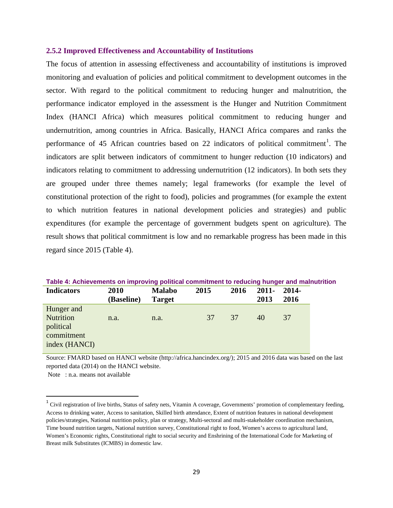#### **2.5.2 Improved Effectiveness and Accountability of Institutions**

The focus of attention in assessing effectiveness and accountability of institutions is improved monitoring and evaluation of policies and political commitment to development outcomes in the sector. With regard to the political commitment to reducing hunger and malnutrition, the performance indicator employed in the assessment is the Hunger and Nutrition Commitment Index (HANCI Africa) which measures political commitment to reducing hunger and undernutrition, among countries in Africa. Basically, HANCI Africa compares and ranks the performance of 45 African countries based on 22 indicators of political commitment<sup>[1](#page-28-1)</sup>. The indicators are split between indicators of commitment to hunger reduction (10 indicators) and indicators relating to commitment to addressing undernutrition (12 indicators). In both sets they are grouped under three themes namely; legal frameworks (for example the level of constitutional protection of the right to food), policies and programmes (for example the extent to which nutrition features in national development policies and strategies) and public expenditures (for example the percentage of government budgets spent on agriculture). The result shows that political commitment is low and no remarkable progress has been made in this regard since 2015 (Table 4).

| Table 4: Achievements on improving political commitment to reducing hunger and mainutrition |            |               |      |      |          |       |  |  |
|---------------------------------------------------------------------------------------------|------------|---------------|------|------|----------|-------|--|--|
| <b>Indicators</b>                                                                           | 2010       | <b>Malabo</b> | 2015 | 2016 | $2011 -$ | 2014- |  |  |
|                                                                                             | (Baseline) | <b>Target</b> |      |      | 2013     | 2016  |  |  |
| Hunger and                                                                                  |            |               |      |      |          |       |  |  |
| <b>Nutrition</b>                                                                            | n.a.       | n.a.          | 37   | 37   | 40       | 37    |  |  |
| political                                                                                   |            |               |      |      |          |       |  |  |
| commitment                                                                                  |            |               |      |      |          |       |  |  |
| index (HANCI)                                                                               |            |               |      |      |          |       |  |  |

<span id="page-28-0"></span>**Table 4: Achievements on improving political commitment to reducing hunger and malnutrition**

Source: FMARD based on HANCI website (http://africa.hancindex.org/); 2015 and 2016 data was based on the last reported data (2014) on the HANCI website.

Note : n.a. means not available

<span id="page-28-1"></span> $1$  Civil registration of live births, Status of safety nets, Vitamin A coverage, Governments' promotion of complementary feeding, Access to drinking water, Access to sanitation, Skilled birth attendance, Extent of nutrition features in national development policies/strategies, National nutrition policy, plan or strategy, Multi-sectoral and multi-stakeholder coordination mechanism, Time bound nutrition targets, National nutrition survey, Constitutional right to food, Women's access to agricultural land, Women's Economic rights, Constitutional right to social security and Enshrining of the International Code for Marketing of Breast milk Substitutes (ICMBS) in domestic law.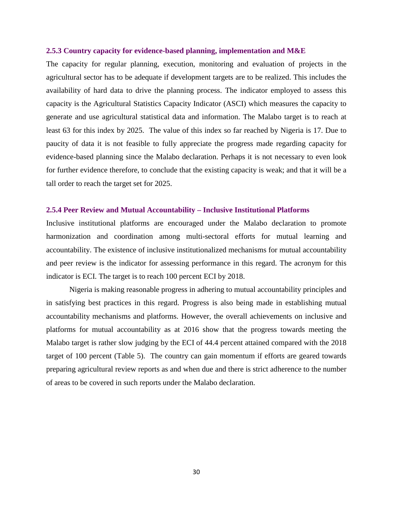#### **2.5.3 Country capacity for evidence-based planning, implementation and M&E**

The capacity for regular planning, execution, monitoring and evaluation of projects in the agricultural sector has to be adequate if development targets are to be realized. This includes the availability of hard data to drive the planning process. The indicator employed to assess this capacity is the Agricultural Statistics Capacity Indicator (ASCI) which measures the capacity to generate and use agricultural statistical data and information. The Malabo target is to reach at least 63 for this index by 2025. The value of this index so far reached by Nigeria is 17. Due to paucity of data it is not feasible to fully appreciate the progress made regarding capacity for evidence-based planning since the Malabo declaration. Perhaps it is not necessary to even look for further evidence therefore, to conclude that the existing capacity is weak; and that it will be a tall order to reach the target set for 2025.

#### **2.5.4 Peer Review and Mutual Accountability – Inclusive Institutional Platforms**

Inclusive institutional platforms are encouraged under the Malabo declaration to promote harmonization and coordination among multi-sectoral efforts for mutual learning and accountability. The existence of inclusive institutionalized mechanisms for mutual accountability and peer review is the indicator for assessing performance in this regard. The acronym for this indicator is ECI. The target is to reach 100 percent ECI by 2018.

Nigeria is making reasonable progress in adhering to mutual accountability principles and in satisfying best practices in this regard. Progress is also being made in establishing mutual accountability mechanisms and platforms. However, the overall achievements on inclusive and platforms for mutual accountability as at 2016 show that the progress towards meeting the Malabo target is rather slow judging by the ECI of 44.4 percent attained compared with the 2018 target of 100 percent (Table 5). The country can gain momentum if efforts are geared towards preparing agricultural review reports as and when due and there is strict adherence to the number of areas to be covered in such reports under the Malabo declaration.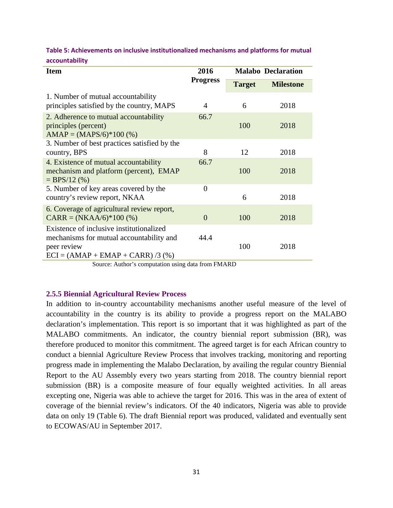| <b>Item</b>                                                                                                                               | 2016             | <b>Malabo Declaration</b> |                  |  |
|-------------------------------------------------------------------------------------------------------------------------------------------|------------------|---------------------------|------------------|--|
|                                                                                                                                           | <b>Progress</b>  | <b>Target</b>             | <b>Milestone</b> |  |
| 1. Number of mutual accountability<br>principles satisfied by the country, MAPS                                                           | 4                | 6                         | 2018             |  |
| 2. Adherence to mutual accountability<br>principles (percent)<br>$AMAP = (MAPS/6)*100 (*)$                                                | 66.7             | 100                       | 2018             |  |
| 3. Number of best practices satisfied by the<br>country, BPS                                                                              | 8                | 12                        | 2018             |  |
| 4. Existence of mutual accountability<br>mechanism and platform (percent), EMAP<br>$=$ BPS/12 (%)                                         | 66.7             | 100                       | 2018             |  |
| 5. Number of key areas covered by the<br>country's review report, NKAA                                                                    | $\boldsymbol{0}$ | 6                         | 2018             |  |
| 6. Coverage of agricultural review report,<br>$CARR = (NKAA/6)*100 (%)$                                                                   | $\overline{0}$   | 100                       | 2018             |  |
| Existence of inclusive institutionalized<br>mechanisms for mutual accountability and<br>peer review<br>$ECI = (AMAP + EMAP + CARR)/3$ (%) | 44.4             | 100                       | 2018             |  |

<span id="page-30-0"></span>**Table 5: Achievements on inclusive institutionalized mechanisms and platforms for mutual accountability**

#### **2.5.5 Biennial Agricultural Review Process**

In addition to in-country accountability mechanisms another useful measure of the level of accountability in the country is its ability to provide a progress report on the MALABO declaration's implementation. This report is so important that it was highlighted as part of the MALABO commitments. An indicator, the country biennial report submission (BR), was therefore produced to monitor this commitment. The agreed target is for each African country to conduct a biennial Agriculture Review Process that involves tracking, monitoring and reporting progress made in implementing the Malabo Declaration, by availing the regular country Biennial Report to the AU Assembly every two years starting from 2018. The country biennial report submission (BR) is a composite measure of four equally weighted activities. In all areas excepting one, Nigeria was able to achieve the target for 2016. This was in the area of extent of coverage of the biennial review's indicators. Of the 40 indicators, Nigeria was able to provide data on only 19 (Table 6). The draft Biennial report was produced, validated and eventually sent to ECOWAS/AU in September 2017.

Source: Author's computation using data from FMARD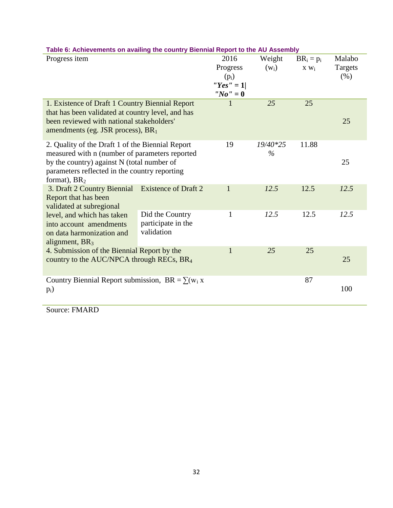| adio of Additional Milano of Additional County<br>Progress item |                             | 2016                                       | Weight   | $BR_i = p_i$ | Malabo  |
|-----------------------------------------------------------------|-----------------------------|--------------------------------------------|----------|--------------|---------|
|                                                                 |                             | Progress                                   | $(w_i)$  | $X W_i$      | Targets |
|                                                                 |                             |                                            |          |              |         |
|                                                                 |                             | $(p_i)$<br>"Yes" = $1$                     |          |              | (% )    |
|                                                                 |                             |                                            |          |              |         |
|                                                                 |                             | $^{\prime\prime}$ No $^{\prime\prime}$ = 0 |          |              |         |
| 1. Existence of Draft 1 Country Biennial Report                 |                             | 1                                          | 25       | 25           |         |
| that has been validated at country level, and has               |                             |                                            |          |              |         |
| been reviewed with national stakeholders'                       |                             |                                            |          |              | 25      |
| amendments (eg. JSR process), BR <sub>1</sub>                   |                             |                                            |          |              |         |
| 2. Quality of the Draft 1 of the Biennial Report                |                             | 19                                         | 19/40*25 | 11.88        |         |
| measured with n (number of parameters reported                  |                             |                                            | $\%$     |              |         |
| by the country) against N (total number of                      |                             |                                            |          |              | 25      |
| parameters reflected in the country reporting                   |                             |                                            |          |              |         |
| format), $BR2$                                                  |                             |                                            |          |              |         |
| 3. Draft 2 Country Biennial                                     | <b>Existence of Draft 2</b> |                                            | 12.5     | 12.5         | 12.5    |
| Report that has been                                            |                             |                                            |          |              |         |
| validated at subregional                                        |                             |                                            |          |              |         |
| level, and which has taken                                      | Did the Country             | 1                                          | 12.5     | 12.5         | 12.5    |
| into account amendments                                         | participate in the          |                                            |          |              |         |
| on data harmonization and                                       | validation                  |                                            |          |              |         |
| alignment, $BR3$                                                |                             |                                            |          |              |         |
| 4. Submission of the Biennial Report by the                     |                             | 1                                          | 25       | 25           |         |
| country to the AUC/NPCA through RECs, BR <sub>4</sub>           |                             |                                            |          |              | 25      |
|                                                                 |                             |                                            |          |              |         |
| Country Biennial Report submission, BR = $\sum (w_i x_i)$       |                             |                                            |          | 87           |         |
| $p_i)$                                                          |                             |                                            |          |              | 100     |
|                                                                 |                             |                                            |          |              |         |

# <span id="page-31-0"></span>**Table 6: Achievements on availing the country Biennial Report to the AU Assembly**

Source: FMARD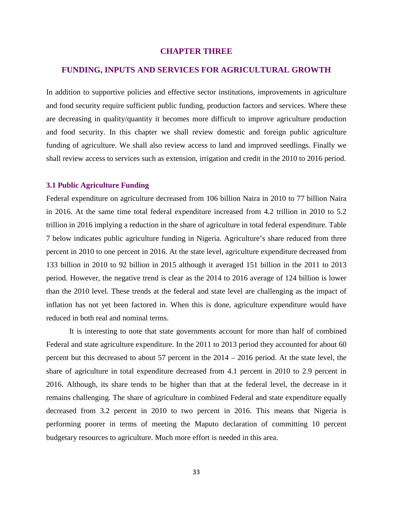#### **CHAPTER THREE**

#### <span id="page-32-0"></span>**FUNDING, INPUTS AND SERVICES FOR AGRICULTURAL GROWTH**

In addition to supportive policies and effective sector institutions, improvements in agriculture and food security require sufficient public funding, production factors and services. Where these are decreasing in quality/quantity it becomes more difficult to improve agriculture production and food security. In this chapter we shall review domestic and foreign public agriculture funding of agriculture. We shall also review access to land and improved seedlings. Finally we shall review access to services such as extension, irrigation and credit in the 2010 to 2016 period.

#### **3.1 Public Agriculture Funding**

Federal expenditure on agriculture decreased from 106 billion Naira in 2010 to 77 billion Naira in 2016. At the same time total federal expenditure increased from 4.2 trillion in 2010 to 5.2 trillion in 2016 implying a reduction in the share of agriculture in total federal expenditure. Table 7 below indicates public agriculture funding in Nigeria. Agriculture's share reduced from three percent in 2010 to one percent in 2016. At the state level, agriculture expenditure decreased from 133 billion in 2010 to 92 billion in 2015 although it averaged 151 billion in the 2011 to 2013 period. However, the negative trend is clear as the 2014 to 2016 average of 124 billion is lower than the 2010 level. These trends at the federal and state level are challenging as the impact of inflation has not yet been factored in. When this is done, agriculture expenditure would have reduced in both real and nominal terms.

It is interesting to note that state governments account for more than half of combined Federal and state agriculture expenditure. In the 2011 to 2013 period they accounted for about 60 percent but this decreased to about 57 percent in the 2014 – 2016 period. At the state level, the share of agriculture in total expenditure decreased from 4.1 percent in 2010 to 2.9 percent in 2016. Although, its share tends to be higher than that at the federal level, the decrease in it remains challenging. The share of agriculture in combined Federal and state expenditure equally decreased from 3.2 percent in 2010 to two percent in 2016. This means that Nigeria is performing poorer in terms of meeting the Maputo declaration of committing 10 percent budgetary resources to agriculture. Much more effort is needed in this area.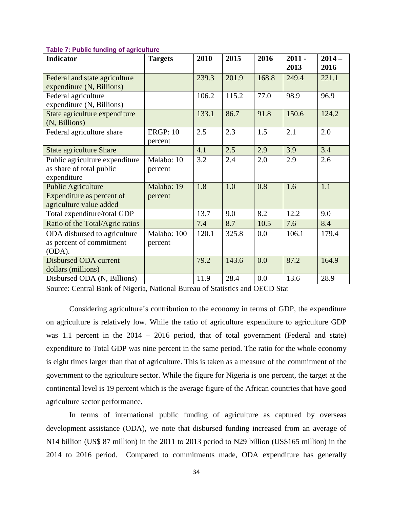| <b>Indicator</b>                                                                  | <b>Targets</b>             | 2010  | 2015  | 2016  | $2011 -$<br>2013 | $2014-$<br>2016 |
|-----------------------------------------------------------------------------------|----------------------------|-------|-------|-------|------------------|-----------------|
| Federal and state agriculture<br>expenditure (N, Billions)                        |                            | 239.3 | 201.9 | 168.8 | 249.4            | 221.1           |
| Federal agriculture<br>expenditure (N, Billions)                                  |                            | 106.2 | 115.2 | 77.0  | 98.9             | 96.9            |
| State agriculture expenditure<br>(N, Billions)                                    |                            | 133.1 | 86.7  | 91.8  | 150.6            | 124.2           |
| Federal agriculture share                                                         | <b>ERGP: 10</b><br>percent | 2.5   | 2.3   | 1.5   | 2.1              | 2.0             |
| <b>State agriculture Share</b>                                                    |                            | 4.1   | 2.5   | 2.9   | 3.9              | 3.4             |
| Public agriculture expenditure<br>as share of total public<br>expenditure         | Malabo: 10<br>percent      | 3.2   | 2.4   | 2.0   | 2.9              | 2.6             |
| <b>Public Agriculture</b><br>Expenditure as percent of<br>agriculture value added | Malabo: 19<br>percent      | 1.8   | 1.0   | 0.8   | 1.6              | 1.1             |
| Total expenditure/total GDP                                                       |                            | 13.7  | 9.0   | 8.2   | 12.2             | 9.0             |
| Ratio of the Total/Agric ratios                                                   |                            | 7.4   | 8.7   | 10.5  | 7.6              | 8.4             |
| ODA disbursed to agriculture<br>as percent of commitment<br>(ODA).                | Malabo: 100<br>percent     | 120.1 | 325.8 | 0.0   | 106.1            | 179.4           |
| Disbursed ODA current<br>dollars (millions)                                       |                            | 79.2  | 143.6 | 0.0   | 87.2             | 164.9           |
| Disbursed ODA (N, Billions)                                                       |                            | 11.9  | 28.4  | 0.0   | 13.6             | 28.9            |

#### <span id="page-33-0"></span>**Table 7: Public funding of agriculture**

Source: Central Bank of Nigeria, National Bureau of Statistics and OECD Stat

Considering agriculture's contribution to the economy in terms of GDP, the expenditure on agriculture is relatively low. While the ratio of agriculture expenditure to agriculture GDP was 1.1 percent in the 2014 – 2016 period, that of total government (Federal and state) expenditure to Total GDP was nine percent in the same period. The ratio for the whole economy is eight times larger than that of agriculture. This is taken as a measure of the commitment of the government to the agriculture sector. While the figure for Nigeria is one percent, the target at the continental level is 19 percent which is the average figure of the African countries that have good agriculture sector performance.

In terms of international public funding of agriculture as captured by overseas development assistance (ODA), we note that disbursed funding increased from an average of N14 billion (US\$ 87 million) in the 2011 to 2013 period to New billion (US\$165 million) in the 2014 to 2016 period. Compared to commitments made, ODA expenditure has generally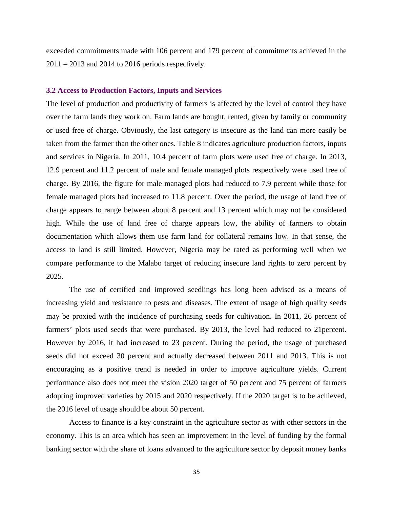exceeded commitments made with 106 percent and 179 percent of commitments achieved in the 2011 – 2013 and 2014 to 2016 periods respectively.

#### **3.2 Access to Production Factors, Inputs and Services**

The level of production and productivity of farmers is affected by the level of control they have over the farm lands they work on. Farm lands are bought, rented, given by family or community or used free of charge. Obviously, the last category is insecure as the land can more easily be taken from the farmer than the other ones. Table 8 indicates agriculture production factors, inputs and services in Nigeria. In 2011, 10.4 percent of farm plots were used free of charge. In 2013, 12.9 percent and 11.2 percent of male and female managed plots respectively were used free of charge. By 2016, the figure for male managed plots had reduced to 7.9 percent while those for female managed plots had increased to 11.8 percent. Over the period, the usage of land free of charge appears to range between about 8 percent and 13 percent which may not be considered high. While the use of land free of charge appears low, the ability of farmers to obtain documentation which allows them use farm land for collateral remains low. In that sense, the access to land is still limited. However, Nigeria may be rated as performing well when we compare performance to the Malabo target of reducing insecure land rights to zero percent by 2025.

The use of certified and improved seedlings has long been advised as a means of increasing yield and resistance to pests and diseases. The extent of usage of high quality seeds may be proxied with the incidence of purchasing seeds for cultivation. In 2011, 26 percent of farmers' plots used seeds that were purchased. By 2013, the level had reduced to 21percent. However by 2016, it had increased to 23 percent. During the period, the usage of purchased seeds did not exceed 30 percent and actually decreased between 2011 and 2013. This is not encouraging as a positive trend is needed in order to improve agriculture yields. Current performance also does not meet the vision 2020 target of 50 percent and 75 percent of farmers adopting improved varieties by 2015 and 2020 respectively. If the 2020 target is to be achieved, the 2016 level of usage should be about 50 percent.

Access to finance is a key constraint in the agriculture sector as with other sectors in the economy. This is an area which has seen an improvement in the level of funding by the formal banking sector with the share of loans advanced to the agriculture sector by deposit money banks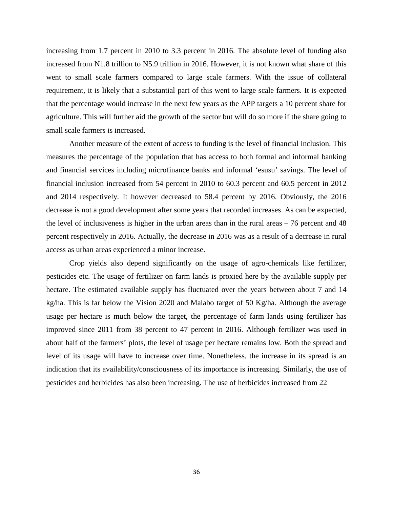increasing from 1.7 percent in 2010 to 3.3 percent in 2016. The absolute level of funding also increased from N1.8 trillion to N5.9 trillion in 2016. However, it is not known what share of this went to small scale farmers compared to large scale farmers. With the issue of collateral requirement, it is likely that a substantial part of this went to large scale farmers. It is expected that the percentage would increase in the next few years as the APP targets a 10 percent share for agriculture. This will further aid the growth of the sector but will do so more if the share going to small scale farmers is increased.

Another measure of the extent of access to funding is the level of financial inclusion. This measures the percentage of the population that has access to both formal and informal banking and financial services including microfinance banks and informal 'esusu' savings. The level of financial inclusion increased from 54 percent in 2010 to 60.3 percent and 60.5 percent in 2012 and 2014 respectively. It however decreased to 58.4 percent by 2016. Obviously, the 2016 decrease is not a good development after some years that recorded increases. As can be expected, the level of inclusiveness is higher in the urban areas than in the rural areas – 76 percent and 48 percent respectively in 2016. Actually, the decrease in 2016 was as a result of a decrease in rural access as urban areas experienced a minor increase.

Crop yields also depend significantly on the usage of agro-chemicals like fertilizer, pesticides etc. The usage of fertilizer on farm lands is proxied here by the available supply per hectare. The estimated available supply has fluctuated over the years between about 7 and 14 kg/ha. This is far below the Vision 2020 and Malabo target of 50 Kg/ha. Although the average usage per hectare is much below the target, the percentage of farm lands using fertilizer has improved since 2011 from 38 percent to 47 percent in 2016. Although fertilizer was used in about half of the farmers' plots, the level of usage per hectare remains low. Both the spread and level of its usage will have to increase over time. Nonetheless, the increase in its spread is an indication that its availability/consciousness of its importance is increasing. Similarly, the use of pesticides and herbicides has also been increasing. The use of herbicides increased from 22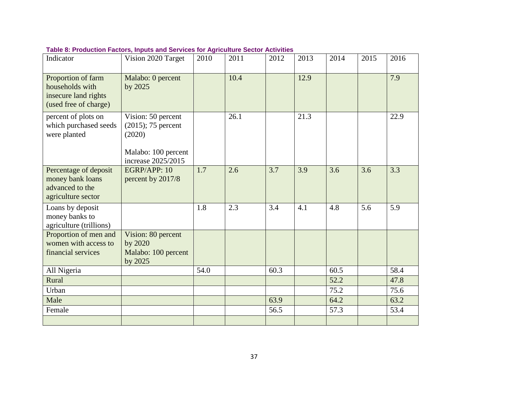| Indicator                                                                              | Vision 2020 Target                                                                                 | 2010 | 2011 | 2012 | 2013 | 2014 | 2015 | 2016 |
|----------------------------------------------------------------------------------------|----------------------------------------------------------------------------------------------------|------|------|------|------|------|------|------|
| Proportion of farm<br>households with<br>insecure land rights<br>(used free of charge) | Malabo: 0 percent<br>by 2025                                                                       |      | 10.4 |      | 12.9 |      |      | 7.9  |
| percent of plots on<br>which purchased seeds<br>were planted                           | Vision: 50 percent<br>$(2015)$ ; 75 percent<br>(2020)<br>Malabo: 100 percent<br>increase 2025/2015 |      | 26.1 |      | 21.3 |      |      | 22.9 |
| Percentage of deposit<br>money bank loans<br>advanced to the<br>agriculture sector     | EGRP/APP: 10<br>percent by 2017/8                                                                  | 1.7  | 2.6  | 3.7  | 3.9  | 3.6  | 3.6  | 3.3  |
| Loans by deposit<br>money banks to<br>agriculture (trillions)                          |                                                                                                    | 1.8  | 2.3  | 3.4  | 4.1  | 4.8  | 5.6  | 5.9  |
| Proportion of men and<br>women with access to<br>financial services                    | Vision: 80 percent<br>by 2020<br>Malabo: 100 percent<br>by 2025                                    |      |      |      |      |      |      |      |
| All Nigeria                                                                            |                                                                                                    | 54.0 |      | 60.3 |      | 60.5 |      | 58.4 |
| Rural                                                                                  |                                                                                                    |      |      |      |      | 52.2 |      | 47.8 |
| Urban                                                                                  |                                                                                                    |      |      |      |      | 75.2 |      | 75.6 |
| Male                                                                                   |                                                                                                    |      |      | 63.9 |      | 64.2 |      | 63.2 |
| Female                                                                                 |                                                                                                    |      |      | 56.5 |      | 57.3 |      | 53.4 |
|                                                                                        |                                                                                                    |      |      |      |      |      |      |      |

# **Table 8: Production Factors, Inputs and Services for Agriculture Sector Activities**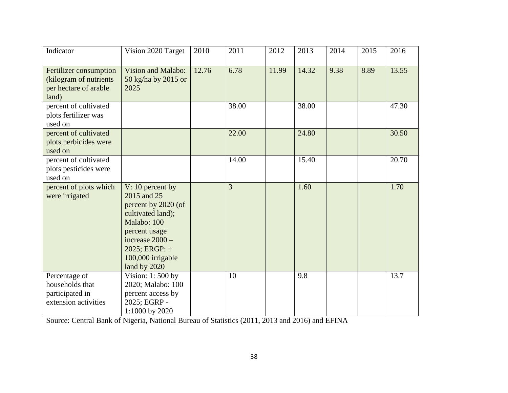| Indicator                                                                           | Vision 2020 Target                                                                                                                                                                          | 2010  | 2011  | 2012  | 2013  | 2014 | 2015 | 2016  |
|-------------------------------------------------------------------------------------|---------------------------------------------------------------------------------------------------------------------------------------------------------------------------------------------|-------|-------|-------|-------|------|------|-------|
| Fertilizer consumption<br>(kilogram of nutrients)<br>per hectare of arable<br>land) | Vision and Malabo:<br>50 kg/ha by 2015 or<br>2025                                                                                                                                           | 12.76 | 6.78  | 11.99 | 14.32 | 9.38 | 8.89 | 13.55 |
| percent of cultivated<br>plots fertilizer was<br>used on                            |                                                                                                                                                                                             |       | 38.00 |       | 38.00 |      |      | 47.30 |
| percent of cultivated<br>plots herbicides were<br>used on                           |                                                                                                                                                                                             |       | 22.00 |       | 24.80 |      |      | 30.50 |
| percent of cultivated<br>plots pesticides were<br>used on                           |                                                                                                                                                                                             |       | 14.00 |       | 15.40 |      |      | 20.70 |
| percent of plots which<br>were irrigated                                            | $V: 10$ percent by<br>2015 and 25<br>percent by 2020 (of<br>cultivated land);<br>Malabo: 100<br>percent usage<br>increase $2000 -$<br>$2025$ ; ERGP: +<br>100,000 irrigable<br>land by 2020 |       | 3     |       | 1.60  |      |      | 1.70  |
| Percentage of<br>households that<br>participated in<br>extension activities         | Vision: 1:500 by<br>2020; Malabo: 100<br>percent access by<br>2025; EGRP -<br>1:1000 by 2020                                                                                                |       | 10    |       | 9.8   |      |      | 13.7  |

Source: Central Bank of Nigeria, National Bureau of Statistics (2011, 2013 and 2016) and EFINA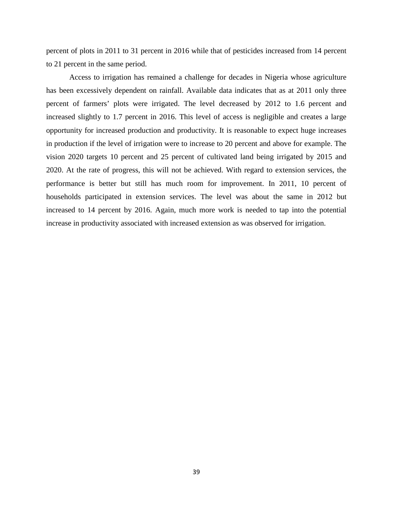percent of plots in 2011 to 31 percent in 2016 while that of pesticides increased from 14 percent to 21 percent in the same period.

Access to irrigation has remained a challenge for decades in Nigeria whose agriculture has been excessively dependent on rainfall. Available data indicates that as at 2011 only three percent of farmers' plots were irrigated. The level decreased by 2012 to 1.6 percent and increased slightly to 1.7 percent in 2016. This level of access is negligible and creates a large opportunity for increased production and productivity. It is reasonable to expect huge increases in production if the level of irrigation were to increase to 20 percent and above for example. The vision 2020 targets 10 percent and 25 percent of cultivated land being irrigated by 2015 and 2020. At the rate of progress, this will not be achieved. With regard to extension services, the performance is better but still has much room for improvement. In 2011, 10 percent of households participated in extension services. The level was about the same in 2012 but increased to 14 percent by 2016. Again, much more work is needed to tap into the potential increase in productivity associated with increased extension as was observed for irrigation.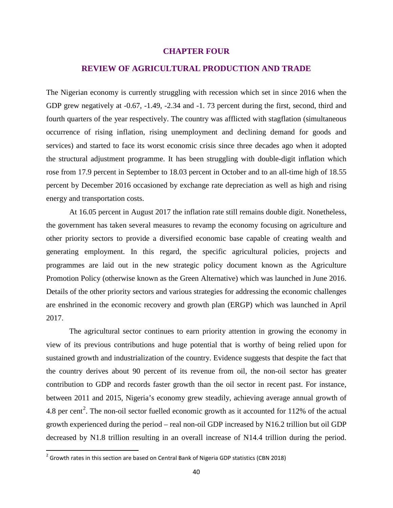# **CHAPTER FOUR**

# **REVIEW OF AGRICULTURAL PRODUCTION AND TRADE**

The Nigerian economy is currently struggling with recession which set in since 2016 when the GDP grew negatively at -0.67, -1.49, -2.34 and -1. 73 percent during the first, second, third and fourth quarters of the year respectively. The country was afflicted with stagflation (simultaneous occurrence of rising inflation, rising unemployment and declining demand for goods and services) and started to face its worst economic crisis since three decades ago when it adopted the structural adjustment programme. It has been struggling with double-digit inflation which rose from 17.9 percent in September to 18.03 percent in October and to an all-time high of 18.55 percent by December 2016 occasioned by exchange rate depreciation as well as high and rising energy and transportation costs.

At 16.05 percent in August 2017 the inflation rate still remains double digit. Nonetheless, the government has taken several measures to revamp the economy focusing on agriculture and other priority sectors to provide a diversified economic base capable of creating wealth and generating employment. In this regard, the specific agricultural policies, projects and programmes are laid out in the new strategic policy document known as the Agriculture Promotion Policy (otherwise known as the Green Alternative) which was launched in June 2016. Details of the other priority sectors and various strategies for addressing the economic challenges are enshrined in the economic recovery and growth plan (ERGP) which was launched in April 2017.

The agricultural sector continues to earn priority attention in growing the economy in view of its previous contributions and huge potential that is worthy of being relied upon for sustained growth and industrialization of the country. Evidence suggests that despite the fact that the country derives about 90 percent of its revenue from oil, the non-oil sector has greater contribution to GDP and records faster growth than the oil sector in recent past. For instance, between 2011 and 2015, Nigeria's economy grew steadily, achieving average annual growth of 4.8 per cent<sup>[2](#page-39-0)</sup>. The non-oil sector fuelled economic growth as it accounted for 112% of the actual growth experienced during the period – real non-oil GDP increased by N16.2 trillion but oil GDP decreased by N1.8 trillion resulting in an overall increase of N14.4 trillion during the period.

<span id="page-39-0"></span> $2$  Growth rates in this section are based on Central Bank of Nigeria GDP statistics (CBN 2018)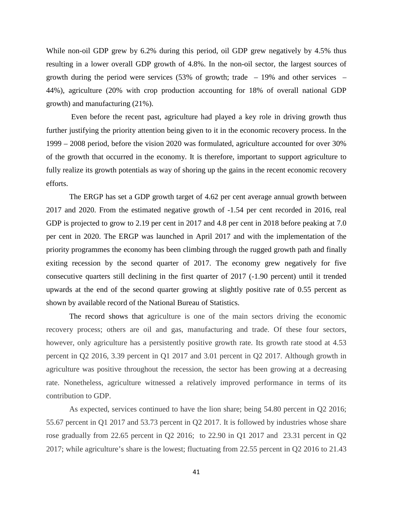While non-oil GDP grew by 6.2% during this period, oil GDP grew negatively by 4.5% thus resulting in a lower overall GDP growth of 4.8%. In the non-oil sector, the largest sources of growth during the period were services  $(53\% \text{ of growth}; \text{ trade } -19\% \text{ and other services } -19\% \text{ and other services } -19\% \text{ and other services } -19\% \text{ and other services } -19\% \text{ and other services } -19\% \text{ and other services } -19\% \text{ and other services } -19\% \text{ and other services } -19\% \text{ and other services } -19\% \text{ and other services } -19\% \text{ and other services } -19\% \text{ and other services } -19\% \text{ and other services } -19\% \text{ and$ 44%), agriculture (20% with crop production accounting for 18% of overall national GDP growth) and manufacturing (21%).

Even before the recent past, agriculture had played a key role in driving growth thus further justifying the priority attention being given to it in the economic recovery process. In the 1999 – 2008 period, before the vision 2020 was formulated, agriculture accounted for over 30% of the growth that occurred in the economy. It is therefore, important to support agriculture to fully realize its growth potentials as way of shoring up the gains in the recent economic recovery efforts.

The ERGP has set a GDP growth target of 4.62 per cent average annual growth between 2017 and 2020. From the estimated negative growth of -1.54 per cent recorded in 2016, real GDP is projected to grow to 2.19 per cent in 2017 and 4.8 per cent in 2018 before peaking at 7.0 per cent in 2020. The ERGP was launched in April 2017 and with the implementation of the priority programmes the economy has been climbing through the rugged growth path and finally exiting recession by the second quarter of 2017. The economy grew negatively for five consecutive quarters still declining in the first quarter of 2017 (-1.90 percent) until it trended upwards at the end of the second quarter growing at slightly positive rate of 0.55 percent as shown by available record of the National Bureau of Statistics.

The record shows that agriculture is one of the main sectors driving the economic recovery process; others are oil and gas, manufacturing and trade. Of these four sectors, however, only agriculture has a persistently positive growth rate. Its growth rate stood at 4.53 percent in Q2 2016, 3.39 percent in Q1 2017 and 3.01 percent in Q2 2017. Although growth in agriculture was positive throughout the recession, the sector has been growing at a decreasing rate. Nonetheless, agriculture witnessed a relatively improved performance in terms of its contribution to GDP.

As expected, services continued to have the lion share; being 54.80 percent in Q2 2016; 55.67 percent in Q1 2017 and 53.73 percent in Q2 2017. It is followed by industries whose share rose gradually from 22.65 percent in Q2 2016; to 22.90 in Q1 2017 and 23.31 percent in Q2 2017; while agriculture's share is the lowest; fluctuating from 22.55 percent in Q2 2016 to 21.43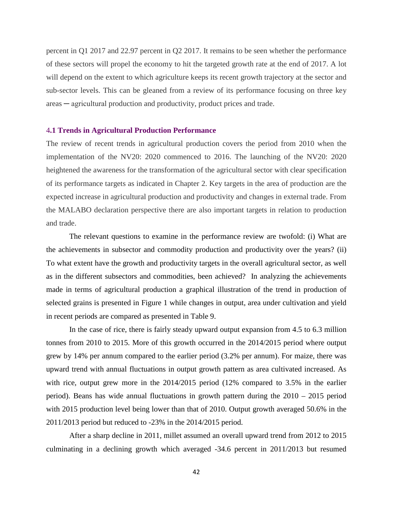percent in Q1 2017 and 22.97 percent in Q2 2017. It remains to be seen whether the performance of these sectors will propel the economy to hit the targeted growth rate at the end of 2017. A lot will depend on the extent to which agriculture keeps its recent growth trajectory at the sector and sub-sector levels. This can be gleaned from a review of its performance focusing on three key areas ─ agricultural production and productivity, product prices and trade.

#### 4**.1 Trends in Agricultural Production Performance**

The review of recent trends in agricultural production covers the period from 2010 when the implementation of the NV20: 2020 commenced to 2016. The launching of the NV20: 2020 heightened the awareness for the transformation of the agricultural sector with clear specification of its performance targets as indicated in Chapter 2. Key targets in the area of production are the expected increase in agricultural production and productivity and changes in external trade. From the MALABO declaration perspective there are also important targets in relation to production and trade.

The relevant questions to examine in the performance review are twofold: (i) What are the achievements in subsector and commodity production and productivity over the years? (ii) To what extent have the growth and productivity targets in the overall agricultural sector, as well as in the different subsectors and commodities, been achieved? In analyzing the achievements made in terms of agricultural production a graphical illustration of the trend in production of selected grains is presented in Figure 1 while changes in output, area under cultivation and yield in recent periods are compared as presented in Table 9.

In the case of rice, there is fairly steady upward output expansion from 4.5 to 6.3 million tonnes from 2010 to 2015. More of this growth occurred in the 2014/2015 period where output grew by 14% per annum compared to the earlier period (3.2% per annum). For maize, there was upward trend with annual fluctuations in output growth pattern as area cultivated increased. As with rice, output grew more in the  $2014/2015$  period (12% compared to 3.5% in the earlier period). Beans has wide annual fluctuations in growth pattern during the 2010 – 2015 period with 2015 production level being lower than that of 2010. Output growth averaged 50.6% in the 2011/2013 period but reduced to -23% in the 2014/2015 period.

After a sharp decline in 2011, millet assumed an overall upward trend from 2012 to 2015 culminating in a declining growth which averaged -34.6 percent in 2011/2013 but resumed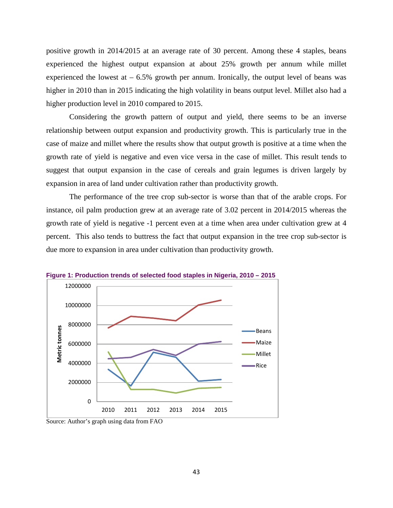positive growth in 2014/2015 at an average rate of 30 percent. Among these 4 staples, beans experienced the highest output expansion at about 25% growth per annum while millet experienced the lowest at  $-6.5\%$  growth per annum. Ironically, the output level of beans was higher in 2010 than in 2015 indicating the high volatility in beans output level. Millet also had a higher production level in 2010 compared to 2015.

Considering the growth pattern of output and yield, there seems to be an inverse relationship between output expansion and productivity growth. This is particularly true in the case of maize and millet where the results show that output growth is positive at a time when the growth rate of yield is negative and even vice versa in the case of millet. This result tends to suggest that output expansion in the case of cereals and grain legumes is driven largely by expansion in area of land under cultivation rather than productivity growth.

The performance of the tree crop sub-sector is worse than that of the arable crops. For instance, oil palm production grew at an average rate of 3.02 percent in 2014/2015 whereas the growth rate of yield is negative -1 percent even at a time when area under cultivation grew at 4 percent. This also tends to buttress the fact that output expansion in the tree crop sub-sector is due more to expansion in area under cultivation than productivity growth.



**Figure 1: Production trends of selected food staples in Nigeria, 2010 – 2015**

Source: Author's graph using data from FAO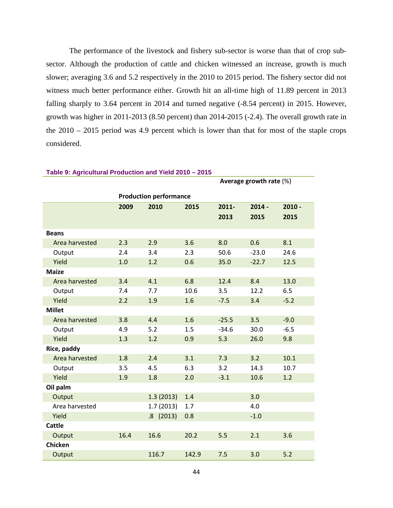The performance of the livestock and fishery sub-sector is worse than that of crop subsector. Although the production of cattle and chicken witnessed an increase, growth is much slower; averaging 3.6 and 5.2 respectively in the 2010 to 2015 period. The fishery sector did not witness much better performance either. Growth hit an all-time high of 11.89 percent in 2013 falling sharply to 3.64 percent in 2014 and turned negative  $(-8.54$  percent) in 2015. However, growth was higher in 2011-2013 (8.50 percent) than 2014-2015 (-2.4). The overall growth rate in the 2010 – 2015 period was 4.9 percent which is lower than that for most of the staple crops considered.

**Average growth rate** (%)

|                |      | <b>Production performance</b> |       |         |          |          |
|----------------|------|-------------------------------|-------|---------|----------|----------|
|                | 2009 | 2010                          | 2015  | 2011-   | $2014 -$ | $2010 -$ |
|                |      |                               |       | 2013    | 2015     | 2015     |
|                |      |                               |       |         |          |          |
| <b>Beans</b>   |      |                               |       |         |          |          |
| Area harvested | 2.3  | 2.9                           | 3.6   | 8.0     | 0.6      | 8.1      |
| Output         | 2.4  | 3.4                           | 2.3   | 50.6    | $-23.0$  | 24.6     |
| Yield          | 1.0  | 1.2                           | 0.6   | 35.0    | $-22.7$  | 12.5     |
| <b>Maize</b>   |      |                               |       |         |          |          |
| Area harvested | 3.4  | 4.1                           | 6.8   | 12.4    | 8.4      | 13.0     |
| Output         | 7.4  | 7.7                           | 10.6  | 3.5     | 12.2     | 6.5      |
| Yield          | 2.2  | 1.9                           | 1.6   | $-7.5$  | 3.4      | $-5.2$   |
| <b>Millet</b>  |      |                               |       |         |          |          |
| Area harvested | 3.8  | 4.4                           | 1.6   | $-25.5$ | 3.5      | $-9.0$   |
| Output         | 4.9  | 5.2                           | 1.5   | $-34.6$ | 30.0     | $-6.5$   |
| Yield          | 1.3  | 1.2                           | 0.9   | 5.3     | 26.0     | 9.8      |
| Rice, paddy    |      |                               |       |         |          |          |
| Area harvested | 1.8  | 2.4                           | 3.1   | 7.3     | 3.2      | 10.1     |
| Output         | 3.5  | 4.5                           | 6.3   | 3.2     | 14.3     | 10.7     |
| Yield          | 1.9  | 1.8                           | 2.0   | $-3.1$  | 10.6     | 1.2      |
| Oil palm       |      |                               |       |         |          |          |
| Output         |      | 1.3(2013)                     | 1.4   |         | 3.0      |          |
| Area harvested |      | 1.7(2013)                     | 1.7   |         | 4.0      |          |
| Yield          |      | .8(2013)                      | 0.8   |         | $-1.0$   |          |
| <b>Cattle</b>  |      |                               |       |         |          |          |
| Output         | 16.4 | 16.6                          | 20.2  | 5.5     | 2.1      | 3.6      |
| <b>Chicken</b> |      |                               |       |         |          |          |
| Output         |      | 116.7                         | 142.9 | 7.5     | 3.0      | 5.2      |

#### **Table 9: Agricultural Production and Yield 2010 – 2015**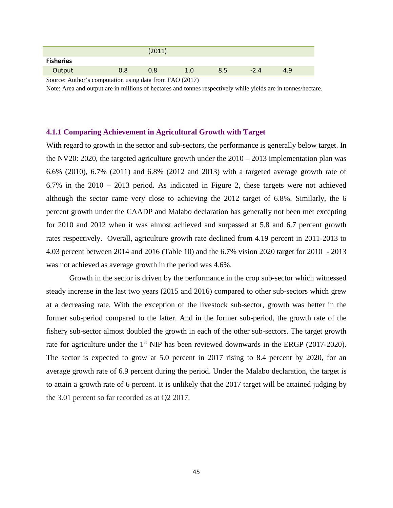|                                                                                                          |     | (2011) |         |     |        |     |  |
|----------------------------------------------------------------------------------------------------------|-----|--------|---------|-----|--------|-----|--|
| <b>Fisheries</b>                                                                                         |     |        |         |     |        |     |  |
| Output                                                                                                   | 0.8 | 0.8    | $1.0\,$ | 8.5 | $-2.4$ | 4.9 |  |
| $\Omega$ and $\Lambda$ is the second integration of the $\Omega$ and $\Omega$ $\Omega$ $\Omega$ $\Omega$ |     |        |         |     |        |     |  |

Source: Author's computation using data from FAO (2017)

Note: Area and output are in millions of hectares and tonnes respectively while yields are in tonnes/hectare.

# **4.1.1 Comparing Achievement in Agricultural Growth with Target**

With regard to growth in the sector and sub-sectors, the performance is generally below target. In the NV20: 2020, the targeted agriculture growth under the  $2010 - 2013$  implementation plan was 6.6% (2010), 6.7% (2011) and 6.8% (2012 and 2013) with a targeted average growth rate of 6.7% in the 2010 – 2013 period. As indicated in Figure 2, these targets were not achieved although the sector came very close to achieving the 2012 target of 6.8%. Similarly, the 6 percent growth under the CAADP and Malabo declaration has generally not been met excepting for 2010 and 2012 when it was almost achieved and surpassed at 5.8 and 6.7 percent growth rates respectively. Overall, agriculture growth rate declined from 4.19 percent in 2011-2013 to 4.03 percent between 2014 and 2016 (Table 10) and the 6.7% vision 2020 target for 2010 - 2013 was not achieved as average growth in the period was 4.6%.

Growth in the sector is driven by the performance in the crop sub-sector which witnessed steady increase in the last two years (2015 and 2016) compared to other sub-sectors which grew at a decreasing rate. With the exception of the livestock sub-sector, growth was better in the former sub-period compared to the latter. And in the former sub-period, the growth rate of the fishery sub-sector almost doubled the growth in each of the other sub-sectors. The target growth rate for agriculture under the  $1<sup>st</sup>$  NIP has been reviewed downwards in the ERGP (2017-2020). The sector is expected to grow at 5.0 percent in 2017 rising to 8.4 percent by 2020, for an average growth rate of 6.9 percent during the period. Under the Malabo declaration, the target is to attain a growth rate of 6 percent. It is unlikely that the 2017 target will be attained judging by the 3.01 percent so far recorded as at Q2 2017.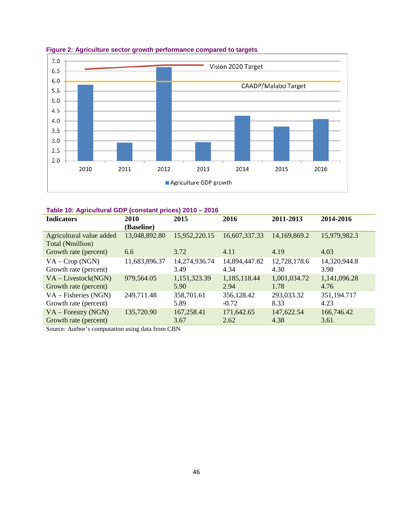

**Figure 2: Agriculture sector growth performance compared to targets**

| <b>Indicators</b>                             | 2010<br>(Baseline) | 2015          | 2016          | 2011-2013    | 2014-2016    |
|-----------------------------------------------|--------------------|---------------|---------------|--------------|--------------|
| Agricultural value added<br>Total (Nemillion) | 13,048,892.80      | 15,952,220.15 | 16,607,337.33 | 14,169,869.2 | 15,979,982.3 |
| Growth rate (percent)                         | 6.6                | 3.72          | 4.11          | 4.19         | 4.03         |
| $VA - Crop (NGN)$                             | 11,683,896.37      | 14,274,936.74 | 14,894,447.82 | 12,728,178.6 | 14,320,944.8 |
| Growth rate (percent)                         |                    | 3.49          | 4.34          | 4.30         | 3.98         |
| $VA$ – Livestock(NGN)                         | 979,564.05         | 1,151,323.39  | 1,185,118.44  | 1,001,034.72 | 1,141,096.28 |
| Growth rate (percent)                         |                    | 5.90          | 2.94          | 1.78         | 4.76         |
| $VA - Fisheries (NGN)$                        | 249,711.48         | 358,701.61    | 356,128.42    | 293,033.32   | 351,194.717  |
| Growth rate (percent)                         |                    | 5.89          | $-0.72$       | 8.33         | 4.23         |
| $VA$ – Forestry (NGN)                         | 135,720.90         | 167,258.41    | 171,642.65    | 147,622.54   | 166,746.42   |
| Growth rate (percent)                         |                    | 3.67          | 2.62          | 4.38         | 3.61         |

Source: Author's computation using data from CBN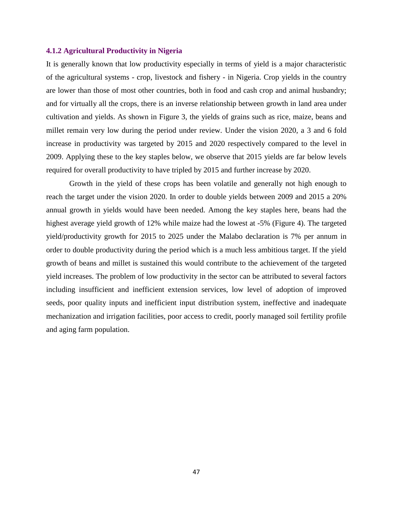# **4.1.2 Agricultural Productivity in Nigeria**

It is generally known that low productivity especially in terms of yield is a major characteristic of the agricultural systems - crop, livestock and fishery - in Nigeria. Crop yields in the country are lower than those of most other countries, both in food and cash crop and animal husbandry; and for virtually all the crops, there is an inverse relationship between growth in land area under cultivation and yields. As shown in Figure 3, the yields of grains such as rice, maize, beans and millet remain very low during the period under review. Under the vision 2020, a 3 and 6 fold increase in productivity was targeted by 2015 and 2020 respectively compared to the level in 2009. Applying these to the key staples below, we observe that 2015 yields are far below levels required for overall productivity to have tripled by 2015 and further increase by 2020.

Growth in the yield of these crops has been volatile and generally not high enough to reach the target under the vision 2020. In order to double yields between 2009 and 2015 a 20% annual growth in yields would have been needed. Among the key staples here, beans had the highest average yield growth of 12% while maize had the lowest at -5% (Figure 4). The targeted yield/productivity growth for 2015 to 2025 under the Malabo declaration is 7% per annum in order to double productivity during the period which is a much less ambitious target. If the yield growth of beans and millet is sustained this would contribute to the achievement of the targeted yield increases. The problem of low productivity in the sector can be attributed to several factors including insufficient and inefficient extension services, low level of adoption of improved seeds, poor quality inputs and inefficient input distribution system, ineffective and inadequate mechanization and irrigation facilities, poor access to credit, poorly managed soil fertility profile and aging farm population.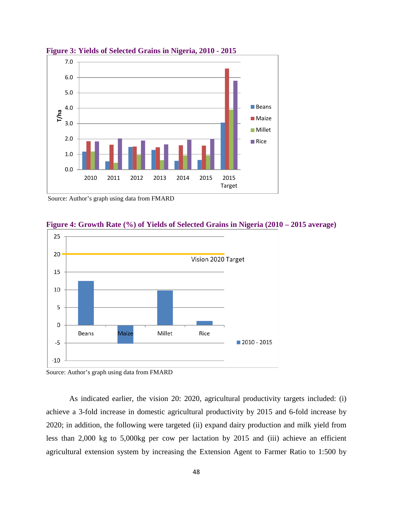

**Figure 3: Yields of Selected Grains in Nigeria, 2010 - 2015**



**Figure 4: Growth Rate (%) of Yields of Selected Grains in Nigeria (2010 – 2015 average)**

As indicated earlier, the vision 20: 2020, agricultural productivity targets included: (i) achieve a 3-fold increase in domestic agricultural productivity by 2015 and 6-fold increase by 2020; in addition, the following were targeted (ii) expand dairy production and milk yield from less than 2,000 kg to 5,000kg per cow per lactation by 2015 and (iii) achieve an efficient agricultural extension system by increasing the Extension Agent to Farmer Ratio to 1:500 by

Source: Author's graph using data from FMARD

Source: Author's graph using data from FMARD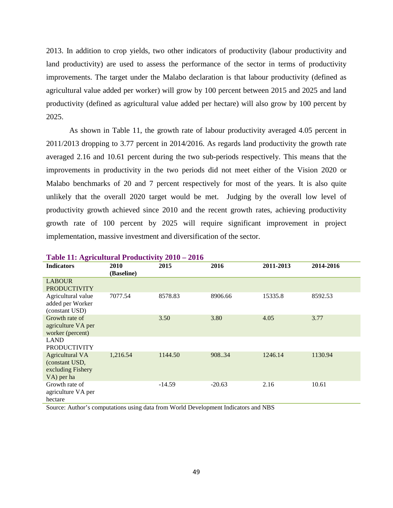2013. In addition to crop yields, two other indicators of productivity (labour productivity and land productivity) are used to assess the performance of the sector in terms of productivity improvements. The target under the Malabo declaration is that labour productivity (defined as agricultural value added per worker) will grow by 100 percent between 2015 and 2025 and land productivity (defined as agricultural value added per hectare) will also grow by 100 percent by 2025.

As shown in Table 11, the growth rate of labour productivity averaged 4.05 percent in 2011/2013 dropping to 3.77 percent in 2014/2016. As regards land productivity the growth rate averaged 2.16 and 10.61 percent during the two sub-periods respectively. This means that the improvements in productivity in the two periods did not meet either of the Vision 2020 or Malabo benchmarks of 20 and 7 percent respectively for most of the years. It is also quite unlikely that the overall 2020 target would be met. Judging by the overall low level of productivity growth achieved since 2010 and the recent growth rates, achieving productivity growth rate of 100 percent by 2025 will require significant improvement in project implementation, massive investment and diversification of the sector.

| <b>Indicators</b>                                                           | 2010<br>(Baseline) | 2015     | 2016     | 2011-2013 | 2014-2016 |  |  |  |
|-----------------------------------------------------------------------------|--------------------|----------|----------|-----------|-----------|--|--|--|
| <b>LABOUR</b><br><b>PRODUCTIVITY</b>                                        |                    |          |          |           |           |  |  |  |
| Agricultural value<br>added per Worker<br>(constant USD)                    | 7077.54            | 8578.83  | 8906.66  | 15335.8   | 8592.53   |  |  |  |
| Growth rate of<br>agriculture VA per<br>worker (percent)                    |                    | 3.50     | 3.80     | 4.05      | 3.77      |  |  |  |
| <b>LAND</b><br><b>PRODUCTIVITY</b>                                          |                    |          |          |           |           |  |  |  |
| <b>Agricultural VA</b><br>(constant USD,<br>excluding Fishery<br>VA) per ha | 1,216.54           | 1144.50  | 908.34   | 1246.14   | 1130.94   |  |  |  |
| Growth rate of<br>agriculture VA per<br>hectare                             |                    | $-14.59$ | $-20.63$ | 2.16      | 10.61     |  |  |  |

#### **Table 11: Agricultural Productivity 2010 – 2016**

Source: Author's computations using data from World Development Indicators and NBS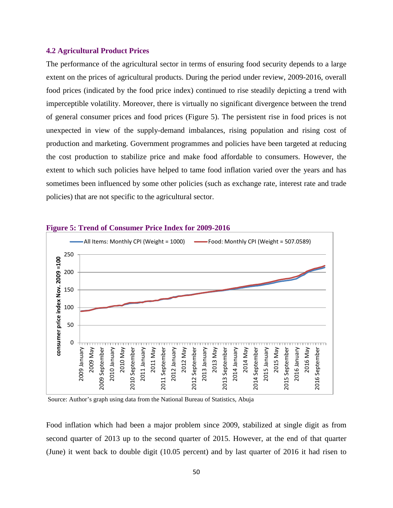# **4.2 Agricultural Product Prices**

The performance of the agricultural sector in terms of ensuring food security depends to a large extent on the prices of agricultural products. During the period under review, 2009-2016, overall food prices (indicated by the food price index) continued to rise steadily depicting a trend with imperceptible volatility. Moreover, there is virtually no significant divergence between the trend of general consumer prices and food prices (Figure 5). The persistent rise in food prices is not unexpected in view of the supply-demand imbalances, rising population and rising cost of production and marketing. Government programmes and policies have been targeted at reducing the cost production to stabilize price and make food affordable to consumers. However, the extent to which such policies have helped to tame food inflation varied over the years and has sometimes been influenced by some other policies (such as exchange rate, interest rate and trade policies) that are not specific to the agricultural sector.



#### **Figure 5: Trend of Consumer Price Index for 2009-2016**

Source: Author's graph using data from the National Bureau of Statistics, Abuja

Food inflation which had been a major problem since 2009, stabilized at single digit as from second quarter of 2013 up to the second quarter of 2015. However, at the end of that quarter (June) it went back to double digit (10.05 percent) and by last quarter of 2016 it had risen to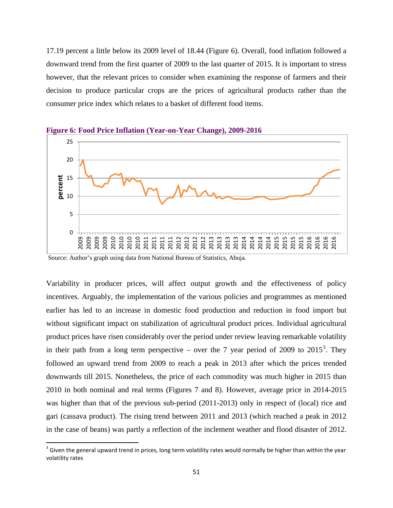17.19 percent a little below its 2009 level of 18.44 (Figure 6). Overall, food inflation followed a downward trend from the first quarter of 2009 to the last quarter of 2015. It is important to stress however, that the relevant prices to consider when examining the response of farmers and their decision to produce particular crops are the prices of agricultural products rather than the consumer price index which relates to a basket of different food items.



**Figure 6: Food Price Inflation (Year-on-Year Change), 2009-2016**

Source: Author's graph using data from National Bureau of Statistics, Abuja.

Variability in producer prices, will affect output growth and the effectiveness of policy incentives. Arguably, the implementation of the various policies and programmes as mentioned earlier has led to an increase in domestic food production and reduction in food import but without significant impact on stabilization of agricultural product prices. Individual agricultural product prices have risen considerably over the period under review leaving remarkable volatility in their path from a long term perspective – over the 7 year period of 2009 to 2015<sup>[3](#page-50-0)</sup>. They followed an upward trend from 2009 to reach a peak in 2013 after which the prices trended downwards till 2015. Nonetheless, the price of each commodity was much higher in 2015 than 2010 in both nominal and real terms (Figures 7 and 8). However, average price in 2014-2015 was higher than that of the previous sub-period (2011-2013) only in respect of (local) rice and gari (cassava product). The rising trend between 2011 and 2013 (which reached a peak in 2012 in the case of beans) was partly a reflection of the inclement weather and flood disaster of 2012.

<span id="page-50-0"></span> $3$  Given the general upward trend in prices, long term volatility rates would normally be higher than within the year volatility rates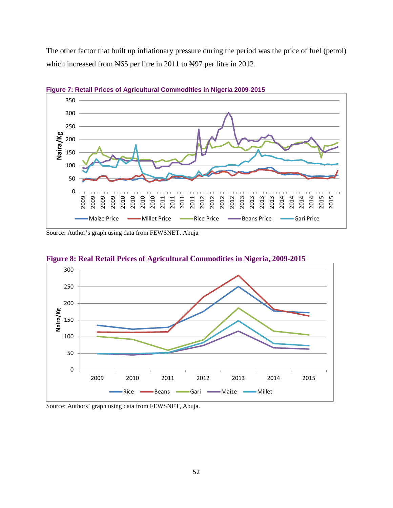The other factor that built up inflationary pressure during the period was the price of fuel (petrol) which increased from N65 per litre in 2011 to N97 per litre in 2012.



**Figure 7: Retail Prices of Agricultural Commodities in Nigeria 2009-2015**

Source: Author's graph using data from FEWSNET. Abuja



**Figure 8: Real Retail Prices of Agricultural Commodities in Nigeria, 2009-2015**

Source: Authors' graph using data from FEWSNET, Abuja.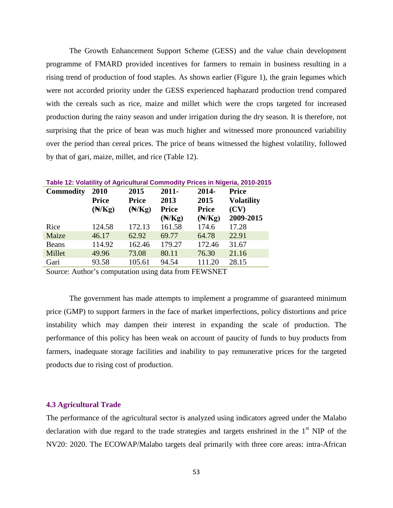The Growth Enhancement Support Scheme (GESS) and the value chain development programme of FMARD provided incentives for farmers to remain in business resulting in a rising trend of production of food staples. As shown earlier (Figure 1), the grain legumes which were not accorded priority under the GESS experienced haphazard production trend compared with the cereals such as rice, maize and millet which were the crops targeted for increased production during the rainy season and under irrigation during the dry season. It is therefore, not surprising that the price of bean was much higher and witnessed more pronounced variability over the period than cereal prices. The price of beans witnessed the highest volatility, followed by that of gari, maize, millet, and rice (Table 12).

| Table 12: Volatility of Agricultural Commodity Prices in Nigeria, 2010-201: |                   |                   |                   |                   |                   |  |  |  |  |
|-----------------------------------------------------------------------------|-------------------|-------------------|-------------------|-------------------|-------------------|--|--|--|--|
| <b>Commodity</b>                                                            | 2010              | 2015              | $2011 -$          | 2014-             | <b>Price</b>      |  |  |  |  |
|                                                                             | <b>Price</b>      | <b>Price</b>      | 2013              | 2015              | <b>Volatility</b> |  |  |  |  |
|                                                                             | $(\mathbb{N}/Kg)$ | $(\mathbb{N}/Kg)$ | <b>Price</b>      | <b>Price</b>      | (CV)              |  |  |  |  |
|                                                                             |                   |                   | $(\mathbb{N}/Kg)$ | $(\mathbb{N}/Kg)$ | 2009-2015         |  |  |  |  |
| Rice                                                                        | 124.58            | 172.13            | 161.58            | 174.6             | 17.28             |  |  |  |  |
| Maize                                                                       | 46.17             | 62.92             | 69.77             | 64.78             | 22.91             |  |  |  |  |
| <b>Beans</b>                                                                | 114.92            | 162.46            | 179.27            | 172.46            | 31.67             |  |  |  |  |
| Millet                                                                      | 49.96             | 73.08             | 80.11             | 76.30             | 21.16             |  |  |  |  |
| Gari                                                                        | 93.58             | 105.61            | 94.54             | 111.20            | 28.15             |  |  |  |  |

**Table 2010-2015** 

Source: Author's computation using data from FEWSNET

The government has made attempts to implement a programme of guaranteed minimum price (GMP) to support farmers in the face of market imperfections, policy distortions and price instability which may dampen their interest in expanding the scale of production. The performance of this policy has been weak on account of paucity of funds to buy products from farmers, inadequate storage facilities and inability to pay remunerative prices for the targeted products due to rising cost of production.

#### **4.3 Agricultural Trade**

The performance of the agricultural sector is analyzed using indicators agreed under the Malabo declaration with due regard to the trade strategies and targets enshrined in the  $1<sup>st</sup>$  NIP of the NV20: 2020. The ECOWAP/Malabo targets deal primarily with three core areas: intra-African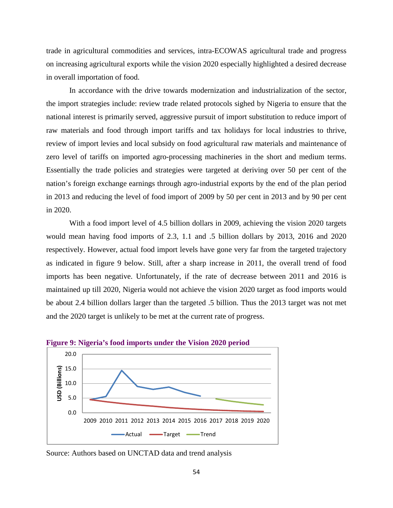trade in agricultural commodities and services, intra-ECOWAS agricultural trade and progress on increasing agricultural exports while the vision 2020 especially highlighted a desired decrease in overall importation of food.

In accordance with the drive towards modernization and industrialization of the sector, the import strategies include: review trade related protocols sighed by Nigeria to ensure that the national interest is primarily served, aggressive pursuit of import substitution to reduce import of raw materials and food through import tariffs and tax holidays for local industries to thrive, review of import levies and local subsidy on food agricultural raw materials and maintenance of zero level of tariffs on imported agro-processing machineries in the short and medium terms. Essentially the trade policies and strategies were targeted at deriving over 50 per cent of the nation's foreign exchange earnings through agro-industrial exports by the end of the plan period in 2013 and reducing the level of food import of 2009 by 50 per cent in 2013 and by 90 per cent in 2020.

With a food import level of 4.5 billion dollars in 2009, achieving the vision 2020 targets would mean having food imports of 2.3, 1.1 and .5 billion dollars by 2013, 2016 and 2020 respectively. However, actual food import levels have gone very far from the targeted trajectory as indicated in figure 9 below. Still, after a sharp increase in 2011, the overall trend of food imports has been negative. Unfortunately, if the rate of decrease between 2011 and 2016 is maintained up till 2020, Nigeria would not achieve the vision 2020 target as food imports would be about 2.4 billion dollars larger than the targeted .5 billion. Thus the 2013 target was not met and the 2020 target is unlikely to be met at the current rate of progress.





Source: Authors based on UNCTAD data and trend analysis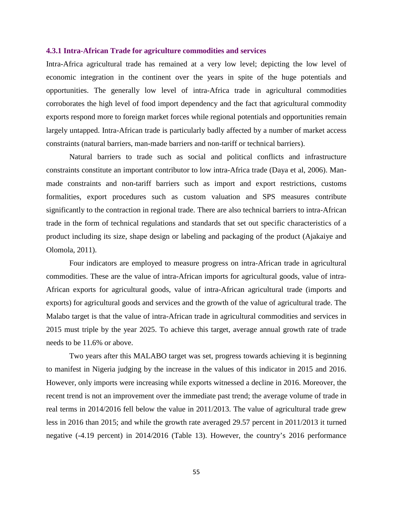### **4.3.1 Intra-African Trade for agriculture commodities and services**

Intra-Africa agricultural trade has remained at a very low level; depicting the low level of economic integration in the continent over the years in spite of the huge potentials and opportunities. The generally low level of intra-Africa trade in agricultural commodities corroborates the high level of food import dependency and the fact that agricultural commodity exports respond more to foreign market forces while regional potentials and opportunities remain largely untapped. Intra-African trade is particularly badly affected by a number of market access constraints (natural barriers, man-made barriers and non-tariff or technical barriers).

Natural barriers to trade such as social and political conflicts and infrastructure constraints constitute an important contributor to low intra-Africa trade (Daya et al, 2006). Manmade constraints and non-tariff barriers such as import and export restrictions, customs formalities, export procedures such as custom valuation and SPS measures contribute significantly to the contraction in regional trade. There are also technical barriers to intra-African trade in the form of technical regulations and standards that set out specific characteristics of a product including its size, shape design or labeling and packaging of the product (Ajakaiye and Olomola, 2011).

Four indicators are employed to measure progress on intra-African trade in agricultural commodities. These are the value of intra-African imports for agricultural goods, value of intra-African exports for agricultural goods, value of intra-African agricultural trade (imports and exports) for agricultural goods and services and the growth of the value of agricultural trade. The Malabo target is that the value of intra-African trade in agricultural commodities and services in 2015 must triple by the year 2025. To achieve this target, average annual growth rate of trade needs to be 11.6% or above.

Two years after this MALABO target was set, progress towards achieving it is beginning to manifest in Nigeria judging by the increase in the values of this indicator in 2015 and 2016. However, only imports were increasing while exports witnessed a decline in 2016. Moreover, the recent trend is not an improvement over the immediate past trend; the average volume of trade in real terms in 2014/2016 fell below the value in 2011/2013. The value of agricultural trade grew less in 2016 than 2015; and while the growth rate averaged 29.57 percent in 2011/2013 it turned negative (-4.19 percent) in 2014/2016 (Table 13). However, the country's 2016 performance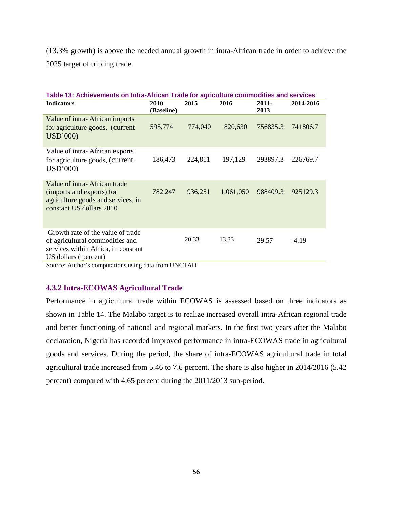(13.3% growth) is above the needed annual growth in intra-African trade in order to achieve the 2025 target of tripling trade.

| Table 13: Achievements on Intra-African Trade for agriculture commodities and services                                              |                    |         |           |                  |           |  |  |  |  |
|-------------------------------------------------------------------------------------------------------------------------------------|--------------------|---------|-----------|------------------|-----------|--|--|--|--|
| <b>Indicators</b>                                                                                                                   | 2010<br>(Baseline) | 2015    | 2016      | $2011 -$<br>2013 | 2014-2016 |  |  |  |  |
| Value of intra-African imports<br>for agriculture goods, (current<br>USD'000)                                                       | 595,774            | 774,040 | 820,630   | 756835.3         | 741806.7  |  |  |  |  |
| Value of intra-African exports<br>for agriculture goods, (current<br>USD'000)                                                       | 186,473            | 224,811 | 197,129   | 293897.3         | 226769.7  |  |  |  |  |
| Value of intra-African trade<br>(imports and exports) for<br>agriculture goods and services, in<br>constant US dollars 2010         | 782,247            | 936,251 | 1,061,050 | 988409.3         | 925129.3  |  |  |  |  |
| Growth rate of the value of trade<br>of agricultural commodities and<br>services within Africa, in constant<br>US dollars (percent) |                    | 20.33   | 13.33     | 29.57            | $-4.19$   |  |  |  |  |

Source: Author's computations using data from UNCTAD

# **4.3.2 Intra-ECOWAS Agricultural Trade**

Performance in agricultural trade within ECOWAS is assessed based on three indicators as shown in Table 14. The Malabo target is to realize increased overall intra-African regional trade and better functioning of national and regional markets. In the first two years after the Malabo declaration, Nigeria has recorded improved performance in intra-ECOWAS trade in agricultural goods and services. During the period, the share of intra-ECOWAS agricultural trade in total agricultural trade increased from 5.46 to 7.6 percent. The share is also higher in 2014/2016 (5.42 percent) compared with 4.65 percent during the 2011/2013 sub-period.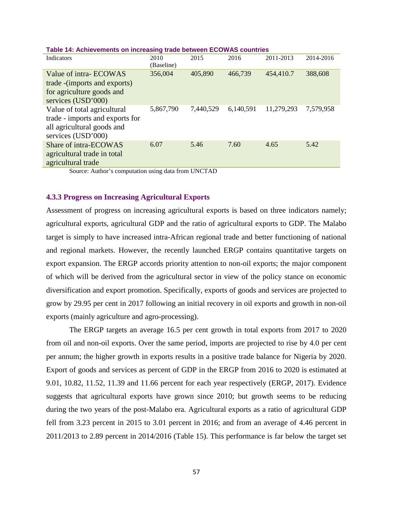| 2010      | 2015       | 2016      | 2011-2013  | 2014-2016 |
|-----------|------------|-----------|------------|-----------|
|           |            |           |            |           |
| 356,004   | 405,890    | 466,739   | 454,410.7  | 388,608   |
|           |            |           |            |           |
|           |            |           |            |           |
|           |            |           |            |           |
| 5,867,790 | 7,440,529  | 6,140,591 | 11,279,293 | 7,579,958 |
|           |            |           |            |           |
|           |            |           |            |           |
|           |            |           |            |           |
| 6.07      | 5.46       | 7.60      | 4.65       | 5.42      |
|           |            |           |            |           |
|           |            |           |            |           |
|           | (Baseline) |           |            |           |

### **Table 14: Achievements on increasing trade between ECOWAS countries**

Source: Author's computation using data from UNCTAD

# **4.3.3 Progress on Increasing Agricultural Exports**

Assessment of progress on increasing agricultural exports is based on three indicators namely; agricultural exports, agricultural GDP and the ratio of agricultural exports to GDP. The Malabo target is simply to have increased intra-African regional trade and better functioning of national and regional markets. However, the recently launched ERGP contains quantitative targets on export expansion. The ERGP accords priority attention to non-oil exports; the major component of which will be derived from the agricultural sector in view of the policy stance on economic diversification and export promotion. Specifically, exports of goods and services are projected to grow by 29.95 per cent in 2017 following an initial recovery in oil exports and growth in non-oil exports (mainly agriculture and agro-processing).

The ERGP targets an average 16.5 per cent growth in total exports from 2017 to 2020 from oil and non-oil exports. Over the same period, imports are projected to rise by 4.0 per cent per annum; the higher growth in exports results in a positive trade balance for Nigeria by 2020. Export of goods and services as percent of GDP in the ERGP from 2016 to 2020 is estimated at 9.01, 10.82, 11.52, 11.39 and 11.66 percent for each year respectively (ERGP, 2017). Evidence suggests that agricultural exports have grown since 2010; but growth seems to be reducing during the two years of the post-Malabo era. Agricultural exports as a ratio of agricultural GDP fell from 3.23 percent in 2015 to 3.01 percent in 2016; and from an average of 4.46 percent in 2011/2013 to 2.89 percent in 2014/2016 (Table 15). This performance is far below the target set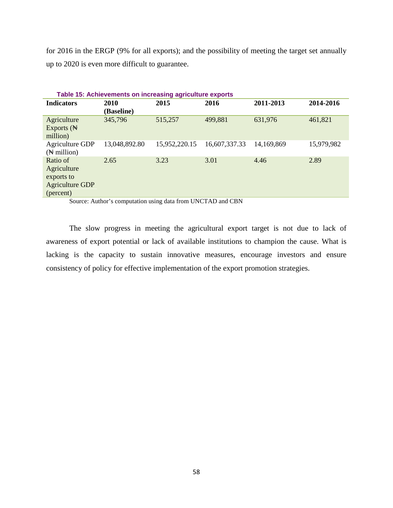for 2016 in the ERGP (9% for all exports); and the possibility of meeting the target set annually up to 2020 is even more difficult to guarantee.

| Table 15: Achievements on increasing agriculture exports                     |                    |               |               |            |            |  |  |  |  |
|------------------------------------------------------------------------------|--------------------|---------------|---------------|------------|------------|--|--|--|--|
| <b>Indicators</b>                                                            | 2010<br>(Baseline) | 2015          | 2016          | 2011-2013  | 2014-2016  |  |  |  |  |
| Agriculture<br>Exports $(\mathbb{N})$<br>million)                            | 345,796            | 515,257       | 499,881       | 631,976    | 461,821    |  |  |  |  |
| Agriculture GDP<br>$(\mathbb{N}$ million)                                    | 13,048,892.80      | 15,952,220.15 | 16,607,337.33 | 14,169,869 | 15,979,982 |  |  |  |  |
| Ratio of<br>Agriculture<br>exports to<br><b>Agriculture GDP</b><br>(percent) | 2.65               | 3.23          | 3.01          | 4.46       | 2.89       |  |  |  |  |

Source: Author's computation using data from UNCTAD and CBN

The slow progress in meeting the agricultural export target is not due to lack of awareness of export potential or lack of available institutions to champion the cause. What is lacking is the capacity to sustain innovative measures, encourage investors and ensure consistency of policy for effective implementation of the export promotion strategies.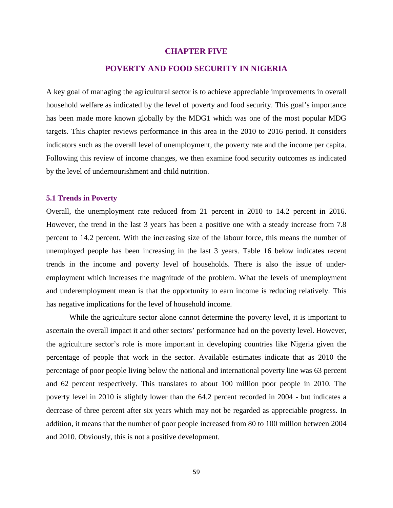### **CHAPTER FIVE**

# **POVERTY AND FOOD SECURITY IN NIGERIA**

A key goal of managing the agricultural sector is to achieve appreciable improvements in overall household welfare as indicated by the level of poverty and food security. This goal's importance has been made more known globally by the MDG1 which was one of the most popular MDG targets. This chapter reviews performance in this area in the 2010 to 2016 period. It considers indicators such as the overall level of unemployment, the poverty rate and the income per capita. Following this review of income changes, we then examine food security outcomes as indicated by the level of undernourishment and child nutrition.

# **5.1 Trends in Poverty**

Overall, the unemployment rate reduced from 21 percent in 2010 to 14.2 percent in 2016. However, the trend in the last 3 years has been a positive one with a steady increase from 7.8 percent to 14.2 percent. With the increasing size of the labour force, this means the number of unemployed people has been increasing in the last 3 years. Table 16 below indicates recent trends in the income and poverty level of households. There is also the issue of underemployment which increases the magnitude of the problem. What the levels of unemployment and underemployment mean is that the opportunity to earn income is reducing relatively. This has negative implications for the level of household income.

While the agriculture sector alone cannot determine the poverty level, it is important to ascertain the overall impact it and other sectors' performance had on the poverty level. However, the agriculture sector's role is more important in developing countries like Nigeria given the percentage of people that work in the sector. Available estimates indicate that as 2010 the percentage of poor people living below the national and international poverty line was 63 percent and 62 percent respectively. This translates to about 100 million poor people in 2010. The poverty level in 2010 is slightly lower than the 64.2 percent recorded in 2004 - but indicates a decrease of three percent after six years which may not be regarded as appreciable progress. In addition, it means that the number of poor people increased from 80 to 100 million between 2004 and 2010. Obviously, this is not a positive development.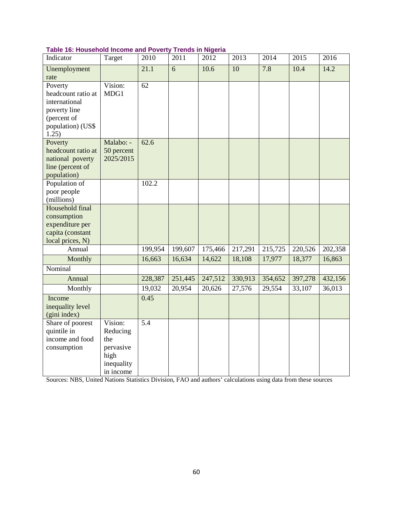| Table 16: Household Income and Poverty Trends in Nigeria |  |  |  |
|----------------------------------------------------------|--|--|--|
|----------------------------------------------------------|--|--|--|

| Indicator            | Target     | 2010             | 2011    | 2012    | 2013    | 2014    | 2015    | 2016    |
|----------------------|------------|------------------|---------|---------|---------|---------|---------|---------|
| Unemployment<br>rate |            | 21.1             | 6       | 10.6    | 10      | 7.8     | 10.4    | 14.2    |
| Poverty              | Vision:    | 62               |         |         |         |         |         |         |
|                      |            |                  |         |         |         |         |         |         |
| headcount ratio at   | MDG1       |                  |         |         |         |         |         |         |
| international        |            |                  |         |         |         |         |         |         |
| poverty line         |            |                  |         |         |         |         |         |         |
| (percent of          |            |                  |         |         |         |         |         |         |
| population) (US\$    |            |                  |         |         |         |         |         |         |
| 1.25)                |            |                  |         |         |         |         |         |         |
| Poverty              | Malabo: -  | 62.6             |         |         |         |         |         |         |
| headcount ratio at   | 50 percent |                  |         |         |         |         |         |         |
| national poverty     | 2025/2015  |                  |         |         |         |         |         |         |
| line (percent of     |            |                  |         |         |         |         |         |         |
| population)          |            |                  |         |         |         |         |         |         |
| Population of        |            | 102.2            |         |         |         |         |         |         |
| poor people          |            |                  |         |         |         |         |         |         |
| (millions)           |            |                  |         |         |         |         |         |         |
| Household final      |            |                  |         |         |         |         |         |         |
| consumption          |            |                  |         |         |         |         |         |         |
| expenditure per      |            |                  |         |         |         |         |         |         |
| capita (constant     |            |                  |         |         |         |         |         |         |
| local prices, N)     |            |                  |         |         |         |         |         |         |
| Annual               |            | 199,954          | 199,607 | 175,466 | 217,291 | 215,725 | 220,526 | 202,358 |
|                      |            |                  |         |         |         |         |         |         |
| Monthly              |            | 16,663           | 16,634  | 14,622  | 18,108  | 17,977  | 18,377  | 16,863  |
| Nominal              |            |                  |         |         |         |         |         |         |
| Annual               |            | 228,387          | 251,445 | 247,512 | 330,913 | 354,652 | 397,278 | 432,156 |
| Monthly              |            | 19,032           | 20,954  | 20,626  | 27,576  | 29,554  | 33,107  | 36,013  |
| Income               |            | 0.45             |         |         |         |         |         |         |
| inequality level     |            |                  |         |         |         |         |         |         |
| (gini index)         |            |                  |         |         |         |         |         |         |
| Share of poorest     | Vision:    | $\overline{5.4}$ |         |         |         |         |         |         |
| quintile in          | Reducing   |                  |         |         |         |         |         |         |
| income and food      | the        |                  |         |         |         |         |         |         |
| consumption          | pervasive  |                  |         |         |         |         |         |         |
|                      | high       |                  |         |         |         |         |         |         |
|                      |            |                  |         |         |         |         |         |         |
|                      | inequality |                  |         |         |         |         |         |         |
|                      | in income  |                  |         |         |         |         |         |         |

Sources: NBS, United Nations Statistics Division, FAO and authors' calculations using data from these sources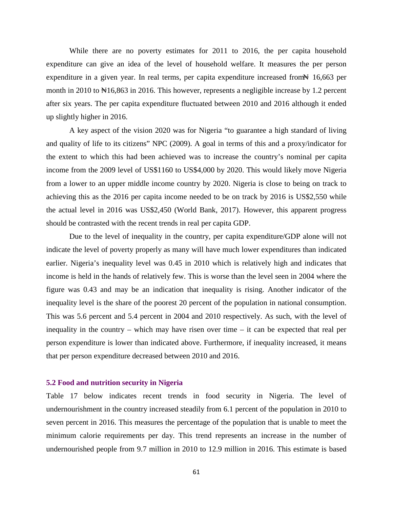While there are no poverty estimates for 2011 to 2016, the per capita household expenditure can give an idea of the level of household welfare. It measures the per person expenditure in a given year. In real terms, per capita expenditure increased from  $\#$  16,663 per month in 2010 to  $\text{N16,863}$  in 2016. This however, represents a negligible increase by 1.2 percent after six years. The per capita expenditure fluctuated between 2010 and 2016 although it ended up slightly higher in 2016.

A key aspect of the vision 2020 was for Nigeria "to guarantee a high standard of living and quality of life to its citizens" NPC (2009). A goal in terms of this and a proxy/indicator for the extent to which this had been achieved was to increase the country's nominal per capita income from the 2009 level of US\$1160 to US\$4,000 by 2020. This would likely move Nigeria from a lower to an upper middle income country by 2020. Nigeria is close to being on track to achieving this as the 2016 per capita income needed to be on track by 2016 is US\$2,550 while the actual level in 2016 was US\$2,450 (World Bank, 2017). However, this apparent progress should be contrasted with the recent trends in real per capita GDP.

Due to the level of inequality in the country, per capita expenditure/GDP alone will not indicate the level of poverty properly as many will have much lower expenditures than indicated earlier. Nigeria's inequality level was 0.45 in 2010 which is relatively high and indicates that income is held in the hands of relatively few. This is worse than the level seen in 2004 where the figure was 0.43 and may be an indication that inequality is rising. Another indicator of the inequality level is the share of the poorest 20 percent of the population in national consumption. This was 5.6 percent and 5.4 percent in 2004 and 2010 respectively. As such, with the level of inequality in the country – which may have risen over time – it can be expected that real per person expenditure is lower than indicated above. Furthermore, if inequality increased, it means that per person expenditure decreased between 2010 and 2016.

# **5.2 Food and nutrition security in Nigeria**

Table 17 below indicates recent trends in food security in Nigeria. The level of undernourishment in the country increased steadily from 6.1 percent of the population in 2010 to seven percent in 2016. This measures the percentage of the population that is unable to meet the minimum calorie requirements per day. This trend represents an increase in the number of undernourished people from 9.7 million in 2010 to 12.9 million in 2016. This estimate is based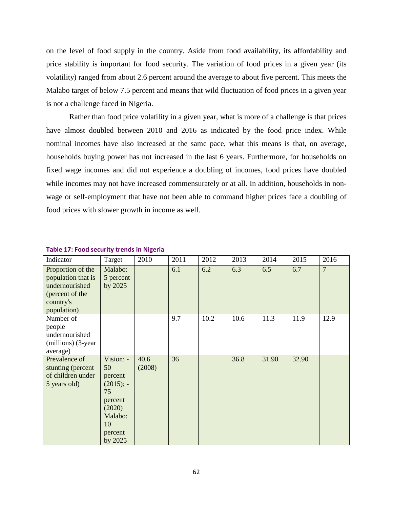on the level of food supply in the country. Aside from food availability, its affordability and price stability is important for food security. The variation of food prices in a given year (its volatility) ranged from about 2.6 percent around the average to about five percent. This meets the Malabo target of below 7.5 percent and means that wild fluctuation of food prices in a given year is not a challenge faced in Nigeria.

Rather than food price volatility in a given year, what is more of a challenge is that prices have almost doubled between 2010 and 2016 as indicated by the food price index. While nominal incomes have also increased at the same pace, what this means is that, on average, households buying power has not increased in the last 6 years. Furthermore, for households on fixed wage incomes and did not experience a doubling of incomes, food prices have doubled while incomes may not have increased commensurately or at all. In addition, households in nonwage or self-employment that have not been able to command higher prices face a doubling of food prices with slower growth in income as well.

| Indicator                                                                                                | Target                                                                                                       | 2010           | 2011 | 2012 | 2013 | 2014  | 2015  | 2016           |
|----------------------------------------------------------------------------------------------------------|--------------------------------------------------------------------------------------------------------------|----------------|------|------|------|-------|-------|----------------|
| Proportion of the<br>population that is<br>undernourished<br>(percent of the<br>country's<br>population) | Malabo:<br>5 percent<br>by 2025                                                                              |                | 6.1  | 6.2  | 6.3  | 6.5   | 6.7   | $\overline{7}$ |
| Number of<br>people<br>undernourished<br>(millions) (3-year<br>average)                                  |                                                                                                              |                | 9.7  | 10.2 | 10.6 | 11.3  | 11.9  | 12.9           |
| Prevalence of<br>stunting (percent<br>of children under<br>5 years old)                                  | Vision: -<br>50<br>percent<br>$(2015)$ ; -<br>75<br>percent<br>(2020)<br>Malabo:<br>10<br>percent<br>by 2025 | 40.6<br>(2008) | 36   |      | 36.8 | 31.90 | 32.90 |                |

#### **Table 17: Food security trends in Nigeria**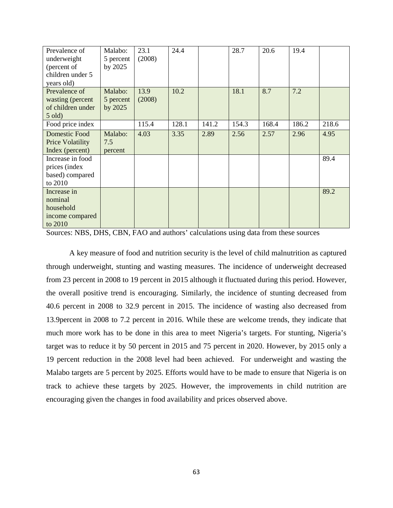| Prevalence of           | Malabo:   | 23.1   | 24.4  |       | 28.7  | 20.6  | 19.4  |       |
|-------------------------|-----------|--------|-------|-------|-------|-------|-------|-------|
| underweight             | 5 percent | (2008) |       |       |       |       |       |       |
| (percent of             | by 2025   |        |       |       |       |       |       |       |
| children under 5        |           |        |       |       |       |       |       |       |
| years old)              |           |        |       |       |       |       |       |       |
| Prevalence of           | Malabo:   | 13.9   | 10.2  |       | 18.1  | 8.7   | 7.2   |       |
| wasting (percent        | 5 percent | (2008) |       |       |       |       |       |       |
| of children under       | by 2025   |        |       |       |       |       |       |       |
| $5$ old)                |           |        |       |       |       |       |       |       |
| Food price index        |           | 115.4  | 128.1 | 141.2 | 154.3 | 168.4 | 186.2 | 218.6 |
| Domestic Food           | Malabo:   | 4.03   | 3.35  | 2.89  | 2.56  | 2.57  | 2.96  | 4.95  |
| <b>Price Volatility</b> | 7.5       |        |       |       |       |       |       |       |
| Index (percent)         | percent   |        |       |       |       |       |       |       |
| Increase in food        |           |        |       |       |       |       |       | 89.4  |
| prices (index           |           |        |       |       |       |       |       |       |
| based) compared         |           |        |       |       |       |       |       |       |
| to 2010                 |           |        |       |       |       |       |       |       |
| Increase in             |           |        |       |       |       |       |       | 89.2  |
| nominal                 |           |        |       |       |       |       |       |       |
| household               |           |        |       |       |       |       |       |       |
| income compared         |           |        |       |       |       |       |       |       |
| to 2010                 |           |        |       |       |       |       |       |       |

Sources: NBS, DHS, CBN, FAO and authors' calculations using data from these sources

A key measure of food and nutrition security is the level of child malnutrition as captured through underweight, stunting and wasting measures. The incidence of underweight decreased from 23 percent in 2008 to 19 percent in 2015 although it fluctuated during this period. However, the overall positive trend is encouraging. Similarly, the incidence of stunting decreased from 40.6 percent in 2008 to 32.9 percent in 2015. The incidence of wasting also decreased from 13.9percent in 2008 to 7.2 percent in 2016. While these are welcome trends, they indicate that much more work has to be done in this area to meet Nigeria's targets. For stunting, Nigeria's target was to reduce it by 50 percent in 2015 and 75 percent in 2020. However, by 2015 only a 19 percent reduction in the 2008 level had been achieved. For underweight and wasting the Malabo targets are 5 percent by 2025. Efforts would have to be made to ensure that Nigeria is on track to achieve these targets by 2025. However, the improvements in child nutrition are encouraging given the changes in food availability and prices observed above.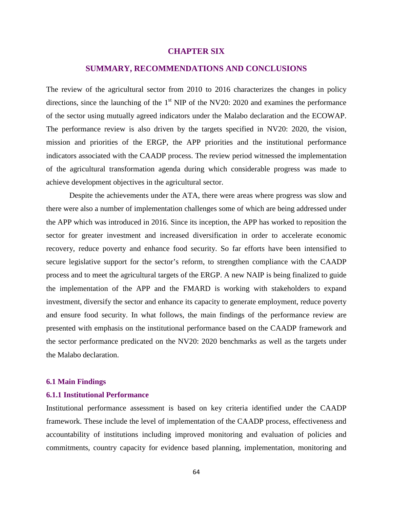# **CHAPTER SIX**

# **SUMMARY, RECOMMENDATIONS AND CONCLUSIONS**

The review of the agricultural sector from 2010 to 2016 characterizes the changes in policy directions, since the launching of the  $1<sup>st</sup>$  NIP of the NV20: 2020 and examines the performance of the sector using mutually agreed indicators under the Malabo declaration and the ECOWAP. The performance review is also driven by the targets specified in NV20: 2020, the vision, mission and priorities of the ERGP, the APP priorities and the institutional performance indicators associated with the CAADP process. The review period witnessed the implementation of the agricultural transformation agenda during which considerable progress was made to achieve development objectives in the agricultural sector.

Despite the achievements under the ATA, there were areas where progress was slow and there were also a number of implementation challenges some of which are being addressed under the APP which was introduced in 2016. Since its inception, the APP has worked to reposition the sector for greater investment and increased diversification in order to accelerate economic recovery, reduce poverty and enhance food security. So far efforts have been intensified to secure legislative support for the sector's reform, to strengthen compliance with the CAADP process and to meet the agricultural targets of the ERGP. A new NAIP is being finalized to guide the implementation of the APP and the FMARD is working with stakeholders to expand investment, diversify the sector and enhance its capacity to generate employment, reduce poverty and ensure food security. In what follows, the main findings of the performance review are presented with emphasis on the institutional performance based on the CAADP framework and the sector performance predicated on the NV20: 2020 benchmarks as well as the targets under the Malabo declaration.

# **6.1 Main Findings**

# **6.1.1 Institutional Performance**

Institutional performance assessment is based on key criteria identified under the CAADP framework. These include the level of implementation of the CAADP process, effectiveness and accountability of institutions including improved monitoring and evaluation of policies and commitments, country capacity for evidence based planning, implementation, monitoring and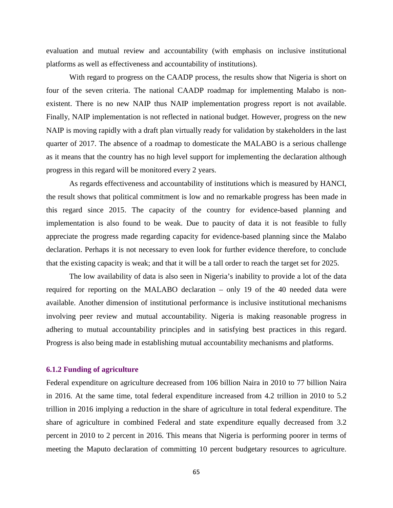evaluation and mutual review and accountability (with emphasis on inclusive institutional platforms as well as effectiveness and accountability of institutions).

With regard to progress on the CAADP process, the results show that Nigeria is short on four of the seven criteria. The national CAADP roadmap for implementing Malabo is nonexistent. There is no new NAIP thus NAIP implementation progress report is not available. Finally, NAIP implementation is not reflected in national budget. However, progress on the new NAIP is moving rapidly with a draft plan virtually ready for validation by stakeholders in the last quarter of 2017. The absence of a roadmap to domesticate the MALABO is a serious challenge as it means that the country has no high level support for implementing the declaration although progress in this regard will be monitored every 2 years.

As regards effectiveness and accountability of institutions which is measured by HANCI, the result shows that political commitment is low and no remarkable progress has been made in this regard since 2015. The capacity of the country for evidence-based planning and implementation is also found to be weak. Due to paucity of data it is not feasible to fully appreciate the progress made regarding capacity for evidence-based planning since the Malabo declaration. Perhaps it is not necessary to even look for further evidence therefore, to conclude that the existing capacity is weak; and that it will be a tall order to reach the target set for 2025.

The low availability of data is also seen in Nigeria's inability to provide a lot of the data required for reporting on the MALABO declaration – only 19 of the 40 needed data were available. Another dimension of institutional performance is inclusive institutional mechanisms involving peer review and mutual accountability. Nigeria is making reasonable progress in adhering to mutual accountability principles and in satisfying best practices in this regard. Progress is also being made in establishing mutual accountability mechanisms and platforms.

#### **6.1.2 Funding of agriculture**

Federal expenditure on agriculture decreased from 106 billion Naira in 2010 to 77 billion Naira in 2016. At the same time, total federal expenditure increased from 4.2 trillion in 2010 to 5.2 trillion in 2016 implying a reduction in the share of agriculture in total federal expenditure. The share of agriculture in combined Federal and state expenditure equally decreased from 3.2 percent in 2010 to 2 percent in 2016. This means that Nigeria is performing poorer in terms of meeting the Maputo declaration of committing 10 percent budgetary resources to agriculture.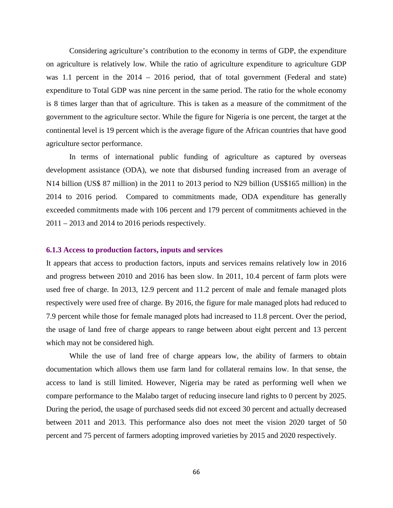Considering agriculture's contribution to the economy in terms of GDP, the expenditure on agriculture is relatively low. While the ratio of agriculture expenditure to agriculture GDP was 1.1 percent in the 2014 – 2016 period, that of total government (Federal and state) expenditure to Total GDP was nine percent in the same period. The ratio for the whole economy is 8 times larger than that of agriculture. This is taken as a measure of the commitment of the government to the agriculture sector. While the figure for Nigeria is one percent, the target at the continental level is 19 percent which is the average figure of the African countries that have good agriculture sector performance.

In terms of international public funding of agriculture as captured by overseas development assistance (ODA), we note that disbursed funding increased from an average of N14 billion (US\$ 87 million) in the 2011 to 2013 period to N29 billion (US\$165 million) in the 2014 to 2016 period. Compared to commitments made, ODA expenditure has generally exceeded commitments made with 106 percent and 179 percent of commitments achieved in the 2011 – 2013 and 2014 to 2016 periods respectively.

### **6.1.3 Access to production factors, inputs and services**

It appears that access to production factors, inputs and services remains relatively low in 2016 and progress between 2010 and 2016 has been slow. In 2011, 10.4 percent of farm plots were used free of charge. In 2013, 12.9 percent and 11.2 percent of male and female managed plots respectively were used free of charge. By 2016, the figure for male managed plots had reduced to 7.9 percent while those for female managed plots had increased to 11.8 percent. Over the period, the usage of land free of charge appears to range between about eight percent and 13 percent which may not be considered high.

While the use of land free of charge appears low, the ability of farmers to obtain documentation which allows them use farm land for collateral remains low. In that sense, the access to land is still limited. However, Nigeria may be rated as performing well when we compare performance to the Malabo target of reducing insecure land rights to 0 percent by 2025. During the period, the usage of purchased seeds did not exceed 30 percent and actually decreased between 2011 and 2013. This performance also does not meet the vision 2020 target of 50 percent and 75 percent of farmers adopting improved varieties by 2015 and 2020 respectively.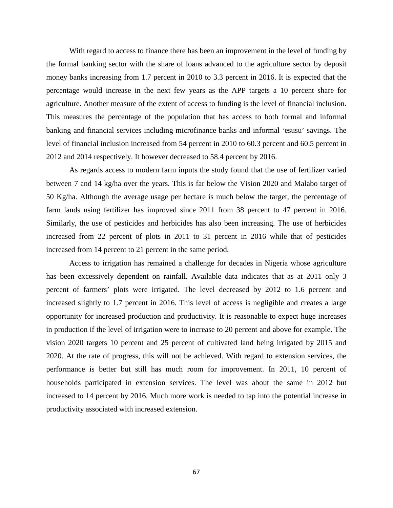With regard to access to finance there has been an improvement in the level of funding by the formal banking sector with the share of loans advanced to the agriculture sector by deposit money banks increasing from 1.7 percent in 2010 to 3.3 percent in 2016. It is expected that the percentage would increase in the next few years as the APP targets a 10 percent share for agriculture. Another measure of the extent of access to funding is the level of financial inclusion. This measures the percentage of the population that has access to both formal and informal banking and financial services including microfinance banks and informal 'esusu' savings. The level of financial inclusion increased from 54 percent in 2010 to 60.3 percent and 60.5 percent in 2012 and 2014 respectively. It however decreased to 58.4 percent by 2016.

As regards access to modern farm inputs the study found that the use of fertilizer varied between 7 and 14 kg/ha over the years. This is far below the Vision 2020 and Malabo target of 50 Kg/ha. Although the average usage per hectare is much below the target, the percentage of farm lands using fertilizer has improved since 2011 from 38 percent to 47 percent in 2016. Similarly, the use of pesticides and herbicides has also been increasing. The use of herbicides increased from 22 percent of plots in 2011 to 31 percent in 2016 while that of pesticides increased from 14 percent to 21 percent in the same period.

Access to irrigation has remained a challenge for decades in Nigeria whose agriculture has been excessively dependent on rainfall. Available data indicates that as at 2011 only 3 percent of farmers' plots were irrigated. The level decreased by 2012 to 1.6 percent and increased slightly to 1.7 percent in 2016. This level of access is negligible and creates a large opportunity for increased production and productivity. It is reasonable to expect huge increases in production if the level of irrigation were to increase to 20 percent and above for example. The vision 2020 targets 10 percent and 25 percent of cultivated land being irrigated by 2015 and 2020. At the rate of progress, this will not be achieved. With regard to extension services, the performance is better but still has much room for improvement. In 2011, 10 percent of households participated in extension services. The level was about the same in 2012 but increased to 14 percent by 2016. Much more work is needed to tap into the potential increase in productivity associated with increased extension.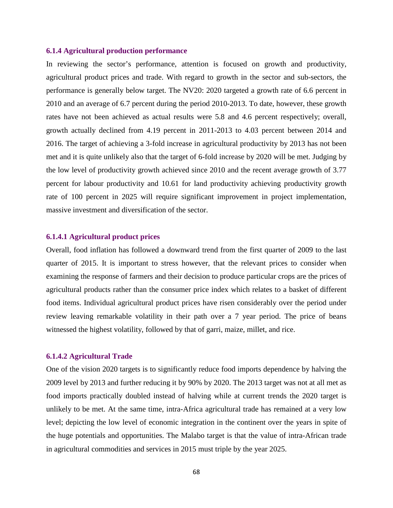## **6.1.4 Agricultural production performance**

In reviewing the sector's performance, attention is focused on growth and productivity, agricultural product prices and trade. With regard to growth in the sector and sub-sectors, the performance is generally below target. The NV20: 2020 targeted a growth rate of 6.6 percent in 2010 and an average of 6.7 percent during the period 2010-2013. To date, however, these growth rates have not been achieved as actual results were 5.8 and 4.6 percent respectively; overall, growth actually declined from 4.19 percent in 2011-2013 to 4.03 percent between 2014 and 2016. The target of achieving a 3-fold increase in agricultural productivity by 2013 has not been met and it is quite unlikely also that the target of 6-fold increase by 2020 will be met. Judging by the low level of productivity growth achieved since 2010 and the recent average growth of 3.77 percent for labour productivity and 10.61 for land productivity achieving productivity growth rate of 100 percent in 2025 will require significant improvement in project implementation, massive investment and diversification of the sector.

# **6.1.4.1 Agricultural product prices**

Overall, food inflation has followed a downward trend from the first quarter of 2009 to the last quarter of 2015. It is important to stress however, that the relevant prices to consider when examining the response of farmers and their decision to produce particular crops are the prices of agricultural products rather than the consumer price index which relates to a basket of different food items. Individual agricultural product prices have risen considerably over the period under review leaving remarkable volatility in their path over a 7 year period. The price of beans witnessed the highest volatility, followed by that of garri, maize, millet, and rice.

# **6.1.4.2 Agricultural Trade**

One of the vision 2020 targets is to significantly reduce food imports dependence by halving the 2009 level by 2013 and further reducing it by 90% by 2020. The 2013 target was not at all met as food imports practically doubled instead of halving while at current trends the 2020 target is unlikely to be met. At the same time, intra-Africa agricultural trade has remained at a very low level; depicting the low level of economic integration in the continent over the years in spite of the huge potentials and opportunities. The Malabo target is that the value of intra-African trade in agricultural commodities and services in 2015 must triple by the year 2025.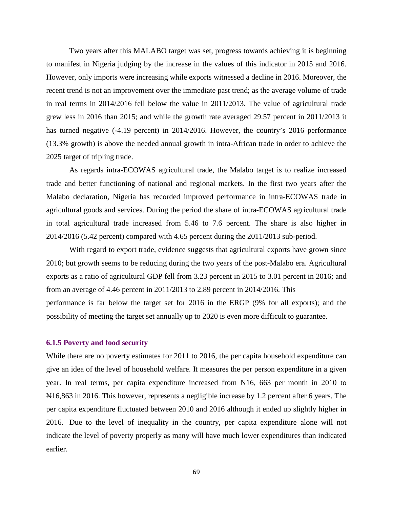Two years after this MALABO target was set, progress towards achieving it is beginning to manifest in Nigeria judging by the increase in the values of this indicator in 2015 and 2016. However, only imports were increasing while exports witnessed a decline in 2016. Moreover, the recent trend is not an improvement over the immediate past trend; as the average volume of trade in real terms in 2014/2016 fell below the value in 2011/2013. The value of agricultural trade grew less in 2016 than 2015; and while the growth rate averaged 29.57 percent in 2011/2013 it has turned negative (-4.19 percent) in 2014/2016. However, the country's 2016 performance (13.3% growth) is above the needed annual growth in intra-African trade in order to achieve the 2025 target of tripling trade.

As regards intra-ECOWAS agricultural trade, the Malabo target is to realize increased trade and better functioning of national and regional markets. In the first two years after the Malabo declaration, Nigeria has recorded improved performance in intra-ECOWAS trade in agricultural goods and services. During the period the share of intra-ECOWAS agricultural trade in total agricultural trade increased from 5.46 to 7.6 percent. The share is also higher in 2014/2016 (5.42 percent) compared with 4.65 percent during the 2011/2013 sub-period.

With regard to export trade, evidence suggests that agricultural exports have grown since 2010; but growth seems to be reducing during the two years of the post-Malabo era. Agricultural exports as a ratio of agricultural GDP fell from 3.23 percent in 2015 to 3.01 percent in 2016; and from an average of 4.46 percent in 2011/2013 to 2.89 percent in 2014/2016. This performance is far below the target set for 2016 in the ERGP (9% for all exports); and the possibility of meeting the target set annually up to 2020 is even more difficult to guarantee.

# **6.1.5 Poverty and food security**

While there are no poverty estimates for 2011 to 2016, the per capita household expenditure can give an idea of the level of household welfare. It measures the per person expenditure in a given year. In real terms, per capita expenditure increased from N16, 663 per month in 2010 to ₦16,863 in 2016. This however, represents a negligible increase by 1.2 percent after 6 years. The per capita expenditure fluctuated between 2010 and 2016 although it ended up slightly higher in 2016. Due to the level of inequality in the country, per capita expenditure alone will not indicate the level of poverty properly as many will have much lower expenditures than indicated earlier.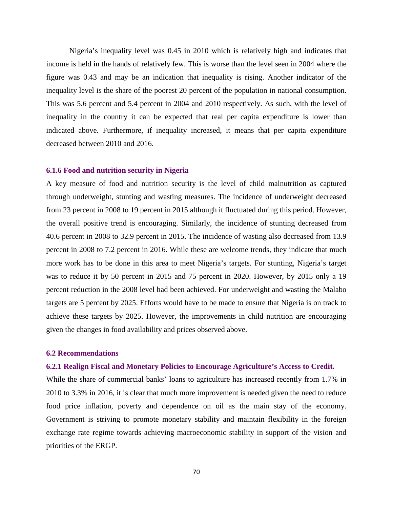Nigeria's inequality level was 0.45 in 2010 which is relatively high and indicates that income is held in the hands of relatively few. This is worse than the level seen in 2004 where the figure was 0.43 and may be an indication that inequality is rising. Another indicator of the inequality level is the share of the poorest 20 percent of the population in national consumption. This was 5.6 percent and 5.4 percent in 2004 and 2010 respectively. As such, with the level of inequality in the country it can be expected that real per capita expenditure is lower than indicated above. Furthermore, if inequality increased, it means that per capita expenditure decreased between 2010 and 2016.

### **6.1.6 Food and nutrition security in Nigeria**

A key measure of food and nutrition security is the level of child malnutrition as captured through underweight, stunting and wasting measures. The incidence of underweight decreased from 23 percent in 2008 to 19 percent in 2015 although it fluctuated during this period. However, the overall positive trend is encouraging. Similarly, the incidence of stunting decreased from 40.6 percent in 2008 to 32.9 percent in 2015. The incidence of wasting also decreased from 13.9 percent in 2008 to 7.2 percent in 2016. While these are welcome trends, they indicate that much more work has to be done in this area to meet Nigeria's targets. For stunting, Nigeria's target was to reduce it by 50 percent in 2015 and 75 percent in 2020. However, by 2015 only a 19 percent reduction in the 2008 level had been achieved. For underweight and wasting the Malabo targets are 5 percent by 2025. Efforts would have to be made to ensure that Nigeria is on track to achieve these targets by 2025. However, the improvements in child nutrition are encouraging given the changes in food availability and prices observed above.

# **6.2 Recommendations**

# **6.2.1 Realign Fiscal and Monetary Policies to Encourage Agriculture's Access to Credit.**

While the share of commercial banks' loans to agriculture has increased recently from 1.7% in 2010 to 3.3% in 2016, it is clear that much more improvement is needed given the need to reduce food price inflation, poverty and dependence on oil as the main stay of the economy. Government is striving to promote monetary stability and maintain flexibility in the foreign exchange rate regime towards achieving macroeconomic stability in support of the vision and priorities of the ERGP.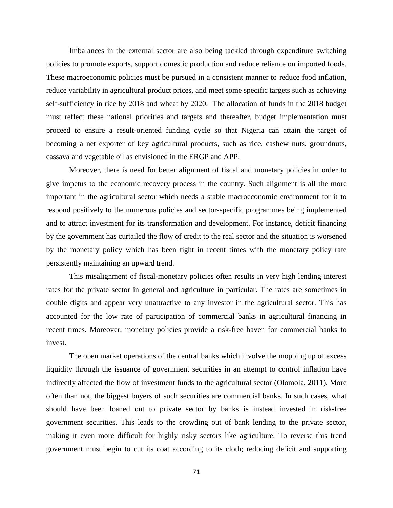Imbalances in the external sector are also being tackled through expenditure switching policies to promote exports, support domestic production and reduce reliance on imported foods. These macroeconomic policies must be pursued in a consistent manner to reduce food inflation, reduce variability in agricultural product prices, and meet some specific targets such as achieving self-sufficiency in rice by 2018 and wheat by 2020. The allocation of funds in the 2018 budget must reflect these national priorities and targets and thereafter, budget implementation must proceed to ensure a result-oriented funding cycle so that Nigeria can attain the target of becoming a net exporter of key agricultural products, such as rice, cashew nuts, groundnuts, cassava and vegetable oil as envisioned in the ERGP and APP.

Moreover, there is need for better alignment of fiscal and monetary policies in order to give impetus to the economic recovery process in the country. Such alignment is all the more important in the agricultural sector which needs a stable macroeconomic environment for it to respond positively to the numerous policies and sector-specific programmes being implemented and to attract investment for its transformation and development. For instance, deficit financing by the government has curtailed the flow of credit to the real sector and the situation is worsened by the monetary policy which has been tight in recent times with the monetary policy rate persistently maintaining an upward trend.

This misalignment of fiscal-monetary policies often results in very high lending interest rates for the private sector in general and agriculture in particular. The rates are sometimes in double digits and appear very unattractive to any investor in the agricultural sector. This has accounted for the low rate of participation of commercial banks in agricultural financing in recent times. Moreover, monetary policies provide a risk-free haven for commercial banks to invest.

The open market operations of the central banks which involve the mopping up of excess liquidity through the issuance of government securities in an attempt to control inflation have indirectly affected the flow of investment funds to the agricultural sector (Olomola, 2011). More often than not, the biggest buyers of such securities are commercial banks. In such cases, what should have been loaned out to private sector by banks is instead invested in risk-free government securities. This leads to the crowding out of bank lending to the private sector, making it even more difficult for highly risky sectors like agriculture. To reverse this trend government must begin to cut its coat according to its cloth; reducing deficit and supporting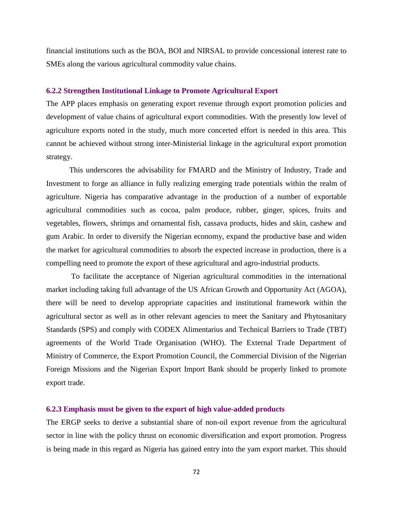financial institutions such as the BOA, BOI and NIRSAL to provide concessional interest rate to SMEs along the various agricultural commodity value chains.

# **6.2.2 Strengthen Institutional Linkage to Promote Agricultural Export**

The APP places emphasis on generating export revenue through export promotion policies and development of value chains of agricultural export commodities. With the presently low level of agriculture exports noted in the study, much more concerted effort is needed in this area. This cannot be achieved without strong inter-Ministerial linkage in the agricultural export promotion strategy.

This underscores the advisability for FMARD and the Ministry of Industry, Trade and Investment to forge an alliance in fully realizing emerging trade potentials within the realm of agriculture. Nigeria has comparative advantage in the production of a number of exportable agricultural commodities such as cocoa, palm produce, rubber, ginger, spices, fruits and vegetables, flowers, shrimps and ornamental fish, cassava products, hides and skin, cashew and gum Arabic. In order to diversify the Nigerian economy, expand the productive base and widen the market for agricultural commodities to absorb the expected increase in production, there is a compelling need to promote the export of these agricultural and agro-industrial products.

To facilitate the acceptance of Nigerian agricultural commodities in the international market including taking full advantage of the US African Growth and Opportunity Act (AGOA), there will be need to develop appropriate capacities and institutional framework within the agricultural sector as well as in other relevant agencies to meet the Sanitary and Phytosanitary Standards (SPS) and comply with CODEX Alimentarius and Technical Barriers to Trade (TBT) agreements of the World Trade Organisation (WHO). The External Trade Department of Ministry of Commerce, the Export Promotion Council, the Commercial Division of the Nigerian Foreign Missions and the Nigerian Export Import Bank should be properly linked to promote export trade.

# **6.2.3 Emphasis must be given to the export of high value-added products**

The ERGP seeks to derive a substantial share of non-oil export revenue from the agricultural sector in line with the policy thrust on economic diversification and export promotion. Progress is being made in this regard as Nigeria has gained entry into the yam export market. This should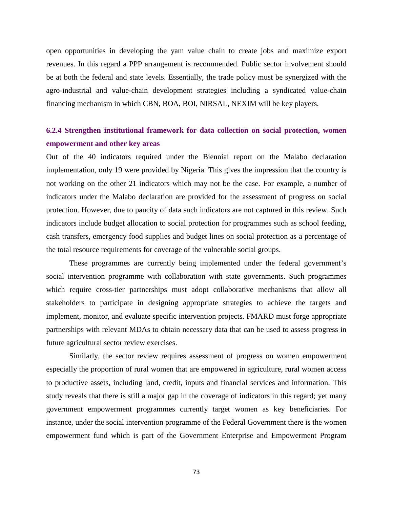open opportunities in developing the yam value chain to create jobs and maximize export revenues. In this regard a PPP arrangement is recommended. Public sector involvement should be at both the federal and state levels. Essentially, the trade policy must be synergized with the agro-industrial and value-chain development strategies including a syndicated value-chain financing mechanism in which CBN, BOA, BOI, NIRSAL, NEXIM will be key players.

# **6.2.4 Strengthen institutional framework for data collection on social protection, women empowerment and other key areas**

Out of the 40 indicators required under the Biennial report on the Malabo declaration implementation, only 19 were provided by Nigeria. This gives the impression that the country is not working on the other 21 indicators which may not be the case. For example, a number of indicators under the Malabo declaration are provided for the assessment of progress on social protection. However, due to paucity of data such indicators are not captured in this review. Such indicators include budget allocation to social protection for programmes such as school feeding, cash transfers, emergency food supplies and budget lines on social protection as a percentage of the total resource requirements for coverage of the vulnerable social groups.

These programmes are currently being implemented under the federal government's social intervention programme with collaboration with state governments. Such programmes which require cross-tier partnerships must adopt collaborative mechanisms that allow all stakeholders to participate in designing appropriate strategies to achieve the targets and implement, monitor, and evaluate specific intervention projects. FMARD must forge appropriate partnerships with relevant MDAs to obtain necessary data that can be used to assess progress in future agricultural sector review exercises.

Similarly, the sector review requires assessment of progress on women empowerment especially the proportion of rural women that are empowered in agriculture, rural women access to productive assets, including land, credit, inputs and financial services and information. This study reveals that there is still a major gap in the coverage of indicators in this regard; yet many government empowerment programmes currently target women as key beneficiaries. For instance, under the social intervention programme of the Federal Government there is the women empowerment fund which is part of the Government Enterprise and Empowerment Program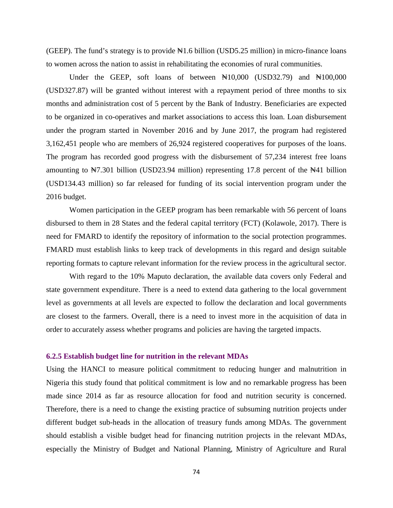(GEEP). The fund's strategy is to provide  $\mathbb{H}1.6$  billion (USD5.25 million) in micro-finance loans to women across the nation to assist in rehabilitating the economies of rural communities.

Under the GEEP, soft loans of between  $\mathbb{N}10,000$  (USD32.79) and  $\mathbb{N}100,000$ (USD327.87) will be granted without interest with a repayment period of three months to six months and administration cost of 5 percent by the Bank of Industry. Beneficiaries are expected to be organized in co-operatives and market associations to access this loan. Loan disbursement under the program started in November 2016 and by June 2017, the program had registered 3,162,451 people who are members of 26,924 registered cooperatives for purposes of the loans. The program has recorded good progress with the disbursement of 57,234 interest free loans amounting to  $\text{N7.301}$  billion (USD23.94 million) representing 17.8 percent of the  $\text{N41}$  billion (USD134.43 million) so far released for funding of its social intervention program under the 2016 budget.

Women participation in the GEEP program has been remarkable with 56 percent of loans disbursed to them in 28 States and the federal capital territory (FCT) (Kolawole, 2017). There is need for FMARD to identify the repository of information to the social protection programmes. FMARD must establish links to keep track of developments in this regard and design suitable reporting formats to capture relevant information for the review process in the agricultural sector.

With regard to the 10% Maputo declaration, the available data covers only Federal and state government expenditure. There is a need to extend data gathering to the local government level as governments at all levels are expected to follow the declaration and local governments are closest to the farmers. Overall, there is a need to invest more in the acquisition of data in order to accurately assess whether programs and policies are having the targeted impacts.

## **6.2.5 Establish budget line for nutrition in the relevant MDAs**

Using the HANCI to measure political commitment to reducing hunger and malnutrition in Nigeria this study found that political commitment is low and no remarkable progress has been made since 2014 as far as resource allocation for food and nutrition security is concerned. Therefore, there is a need to change the existing practice of subsuming nutrition projects under different budget sub-heads in the allocation of treasury funds among MDAs. The government should establish a visible budget head for financing nutrition projects in the relevant MDAs, especially the Ministry of Budget and National Planning, Ministry of Agriculture and Rural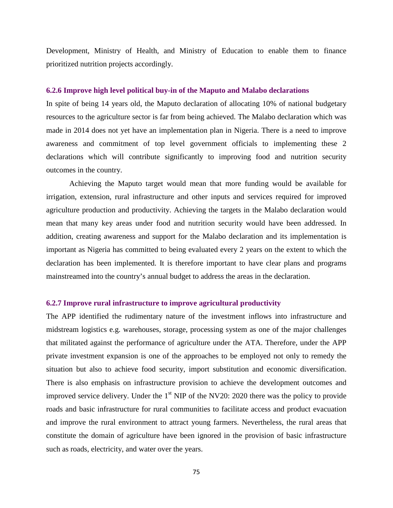Development, Ministry of Health, and Ministry of Education to enable them to finance prioritized nutrition projects accordingly.

#### **6.2.6 Improve high level political buy-in of the Maputo and Malabo declarations**

In spite of being 14 years old, the Maputo declaration of allocating 10% of national budgetary resources to the agriculture sector is far from being achieved. The Malabo declaration which was made in 2014 does not yet have an implementation plan in Nigeria. There is a need to improve awareness and commitment of top level government officials to implementing these 2 declarations which will contribute significantly to improving food and nutrition security outcomes in the country.

Achieving the Maputo target would mean that more funding would be available for irrigation, extension, rural infrastructure and other inputs and services required for improved agriculture production and productivity. Achieving the targets in the Malabo declaration would mean that many key areas under food and nutrition security would have been addressed. In addition, creating awareness and support for the Malabo declaration and its implementation is important as Nigeria has committed to being evaluated every 2 years on the extent to which the declaration has been implemented. It is therefore important to have clear plans and programs mainstreamed into the country's annual budget to address the areas in the declaration.

### **6.2.7 Improve rural infrastructure to improve agricultural productivity**

The APP identified the rudimentary nature of the investment inflows into infrastructure and midstream logistics e.g. warehouses, storage, processing system as one of the major challenges that militated against the performance of agriculture under the ATA. Therefore, under the APP private investment expansion is one of the approaches to be employed not only to remedy the situation but also to achieve food security, import substitution and economic diversification. There is also emphasis on infrastructure provision to achieve the development outcomes and improved service delivery. Under the  $1<sup>st</sup>$  NIP of the NV20: 2020 there was the policy to provide roads and basic infrastructure for rural communities to facilitate access and product evacuation and improve the rural environment to attract young farmers. Nevertheless, the rural areas that constitute the domain of agriculture have been ignored in the provision of basic infrastructure such as roads, electricity, and water over the years.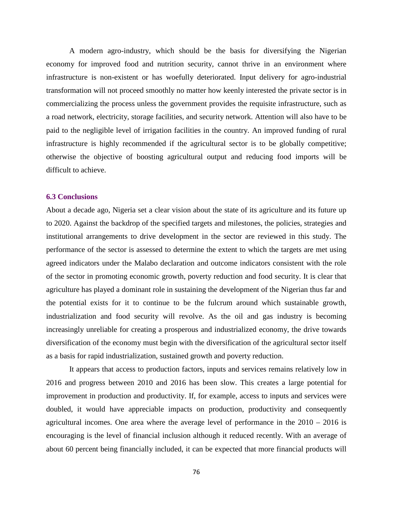A modern agro-industry, which should be the basis for diversifying the Nigerian economy for improved food and nutrition security, cannot thrive in an environment where infrastructure is non-existent or has woefully deteriorated. Input delivery for agro-industrial transformation will not proceed smoothly no matter how keenly interested the private sector is in commercializing the process unless the government provides the requisite infrastructure, such as a road network, electricity, storage facilities, and security network. Attention will also have to be paid to the negligible level of irrigation facilities in the country. An improved funding of rural infrastructure is highly recommended if the agricultural sector is to be globally competitive; otherwise the objective of boosting agricultural output and reducing food imports will be difficult to achieve.

#### **6.3 Conclusions**

About a decade ago, Nigeria set a clear vision about the state of its agriculture and its future up to 2020. Against the backdrop of the specified targets and milestones, the policies, strategies and institutional arrangements to drive development in the sector are reviewed in this study. The performance of the sector is assessed to determine the extent to which the targets are met using agreed indicators under the Malabo declaration and outcome indicators consistent with the role of the sector in promoting economic growth, poverty reduction and food security. It is clear that agriculture has played a dominant role in sustaining the development of the Nigerian thus far and the potential exists for it to continue to be the fulcrum around which sustainable growth, industrialization and food security will revolve. As the oil and gas industry is becoming increasingly unreliable for creating a prosperous and industrialized economy, the drive towards diversification of the economy must begin with the diversification of the agricultural sector itself as a basis for rapid industrialization, sustained growth and poverty reduction.

It appears that access to production factors, inputs and services remains relatively low in 2016 and progress between 2010 and 2016 has been slow. This creates a large potential for improvement in production and productivity. If, for example, access to inputs and services were doubled, it would have appreciable impacts on production, productivity and consequently agricultural incomes. One area where the average level of performance in the 2010 – 2016 is encouraging is the level of financial inclusion although it reduced recently. With an average of about 60 percent being financially included, it can be expected that more financial products will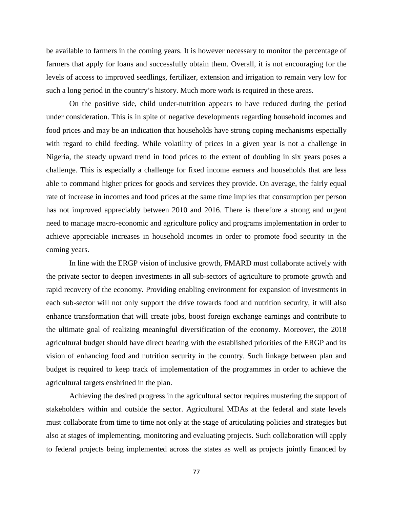be available to farmers in the coming years. It is however necessary to monitor the percentage of farmers that apply for loans and successfully obtain them. Overall, it is not encouraging for the levels of access to improved seedlings, fertilizer, extension and irrigation to remain very low for such a long period in the country's history. Much more work is required in these areas.

On the positive side, child under-nutrition appears to have reduced during the period under consideration. This is in spite of negative developments regarding household incomes and food prices and may be an indication that households have strong coping mechanisms especially with regard to child feeding. While volatility of prices in a given year is not a challenge in Nigeria, the steady upward trend in food prices to the extent of doubling in six years poses a challenge. This is especially a challenge for fixed income earners and households that are less able to command higher prices for goods and services they provide. On average, the fairly equal rate of increase in incomes and food prices at the same time implies that consumption per person has not improved appreciably between 2010 and 2016. There is therefore a strong and urgent need to manage macro-economic and agriculture policy and programs implementation in order to achieve appreciable increases in household incomes in order to promote food security in the coming years.

In line with the ERGP vision of inclusive growth, FMARD must collaborate actively with the private sector to deepen investments in all sub-sectors of agriculture to promote growth and rapid recovery of the economy. Providing enabling environment for expansion of investments in each sub-sector will not only support the drive towards food and nutrition security, it will also enhance transformation that will create jobs, boost foreign exchange earnings and contribute to the ultimate goal of realizing meaningful diversification of the economy. Moreover, the 2018 agricultural budget should have direct bearing with the established priorities of the ERGP and its vision of enhancing food and nutrition security in the country. Such linkage between plan and budget is required to keep track of implementation of the programmes in order to achieve the agricultural targets enshrined in the plan.

Achieving the desired progress in the agricultural sector requires mustering the support of stakeholders within and outside the sector. Agricultural MDAs at the federal and state levels must collaborate from time to time not only at the stage of articulating policies and strategies but also at stages of implementing, monitoring and evaluating projects. Such collaboration will apply to federal projects being implemented across the states as well as projects jointly financed by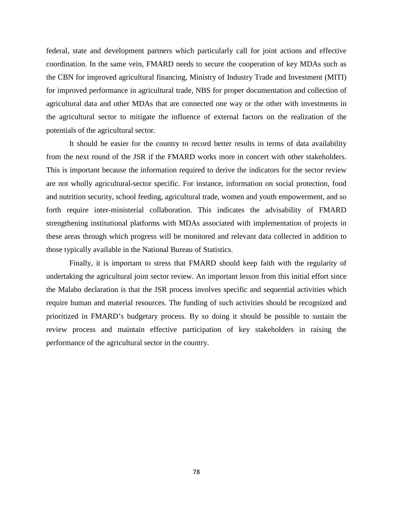federal, state and development partners which particularly call for joint actions and effective coordination. In the same vein, FMARD needs to secure the cooperation of key MDAs such as the CBN for improved agricultural financing, Ministry of Industry Trade and Investment (MITI) for improved performance in agricultural trade, NBS for proper documentation and collection of agricultural data and other MDAs that are connected one way or the other with investments in the agricultural sector to mitigate the influence of external factors on the realization of the potentials of the agricultural sector.

It should be easier for the country to record better results in terms of data availability from the next round of the JSR if the FMARD works more in concert with other stakeholders. This is important because the information required to derive the indicators for the sector review are not wholly agricultural-sector specific. For instance, information on social protection, food and nutrition security, school feeding, agricultural trade, women and youth empowerment, and so forth require inter-ministerial collaboration. This indicates the advisability of FMARD strengthening institutional platforms with MDAs associated with implementation of projects in these areas through which progress will be monitored and relevant data collected in addition to those typically available in the National Bureau of Statistics.

Finally, it is important to stress that FMARD should keep faith with the regularity of undertaking the agricultural joint sector review. An important lesson from this initial effort since the Malabo declaration is that the JSR process involves specific and sequential activities which require human and material resources. The funding of such activities should be recognized and prioritized in FMARD's budgetary process. By so doing it should be possible to sustain the review process and maintain effective participation of key stakeholders in raising the performance of the agricultural sector in the country.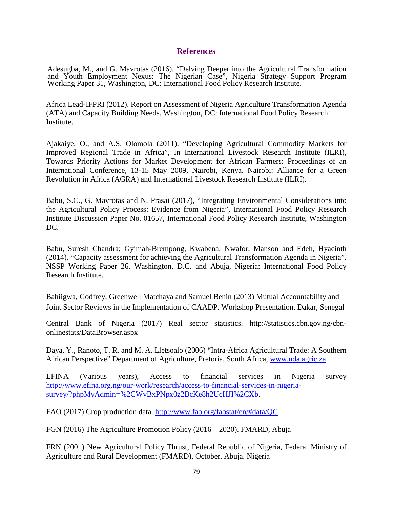## **References**

Adesugba, M., and G. Mavrotas (2016). "Delving Deeper into the Agricultural Transformation and Youth Employment Nexus: The Nigerian Case", Nigeria Strategy Support Program Working Paper 31, Washington, DC: International Food Policy Research Institute.

Africa Lead-IFPRI (2012). Report on Assessment of Nigeria Agriculture Transformation Agenda (ATA) and Capacity Building Needs. Washington, DC: International Food Policy Research Institute.

Ajakaiye, O., and A.S. Olomola (2011). "Developing Agricultural Commodity Markets for Improved Regional Trade in Africa", In International Livestock Research Institute (ILRI), Towards Priority Actions for Market Development for African Farmers: Proceedings of an International Conference, 13-15 May 2009, Nairobi, Kenya. Nairobi: Alliance for a Green Revolution in Africa (AGRA) and International Livestock Research Institute (ILRI).

Babu, S.C., G. Mavrotas and N. Prasai (2017), "Integrating Environmental Considerations into the Agricultural Policy Process: Evidence from Nigeria", International Food Policy Research Institute Discussion Paper No. 01657, International Food Policy Research Institute, Washington DC.

Babu, Suresh Chandra; Gyimah-Brempong, Kwabena; Nwafor, Manson and Edeh, Hyacinth (2014). "Capacity assessment for achieving the Agricultural Transformation Agenda in Nigeria". NSSP Working Paper 26. Washington, D.C. and Abuja, Nigeria: International Food Policy Research Institute.

Bahiigwa, Godfrey, Greenwell Matchaya and Samuel Benin (2013) Mutual Accountability and Joint Sector Reviews in the Implementation of CAADP. Workshop Presentation. Dakar, Senegal

Central Bank of Nigeria (2017) Real sector statistics. http://statistics.cbn.gov.ng/cbnonlinestats/DataBrowser.aspx

Daya, Y., Ranoto, T. R. and M. A. Lletsoalo (2006) "Intra-Africa Agricultural Trade: A Southern African Perspective" Department of Agriculture, Pretoria, South Africa, [www.nda.agric.za](http://www.nda.agric.za/)

EFINA (Various years), Access to financial services in Nigeria survey [http://www.efina.org.ng/our-work/research/access-to-financial-services-in-nigeria](http://www.efina.org.ng/our-work/research/access-to-financial-services-in-nigeria-survey/?phpMyAdmin=%2CWvBxPNpx0z2BcKe8h2UcHJI%2CXb)[survey/?phpMyAdmin=%2CWvBxPNpx0z2BcKe8h2UcHJI%2CXb.](http://www.efina.org.ng/our-work/research/access-to-financial-services-in-nigeria-survey/?phpMyAdmin=%2CWvBxPNpx0z2BcKe8h2UcHJI%2CXb)

FAO (2017) Crop production data.<http://www.fao.org/faostat/en/#data/QC>

FGN (2016) The Agriculture Promotion Policy (2016 – 2020). FMARD, Abuja

FRN (2001) New Agricultural Policy Thrust, Federal Republic of Nigeria, Federal Ministry of Agriculture and Rural Development (FMARD), October. Abuja. Nigeria